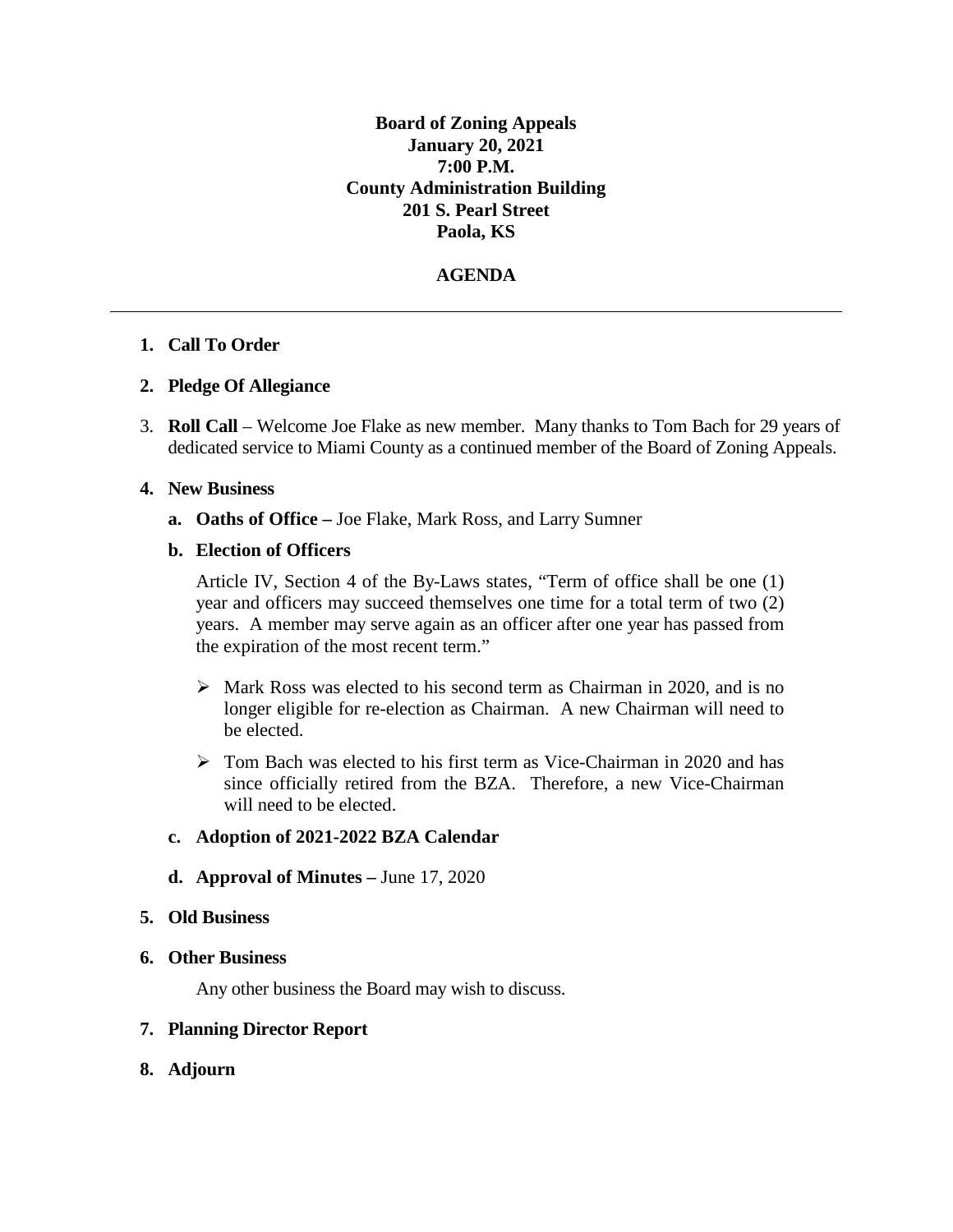**Board of Zoning Appeals January 20, 2021 7:00 P.M. County Administration Building 201 S. Pearl Street Paola, KS**

#### **AGENDA**

#### **1. Call To Order**

#### **2. Pledge Of Allegiance**

3. **Roll Call** – Welcome Joe Flake as new member. Many thanks to Tom Bach for 29 years of dedicated service to Miami County as a continued member of the Board of Zoning Appeals.

#### **4. New Business**

**a. Oaths of Office –** Joe Flake, Mark Ross, and Larry Sumner

#### **b. Election of Officers**

Article IV, Section 4 of the By-Laws states, "Term of office shall be one (1) year and officers may succeed themselves one time for a total term of two (2) years. A member may serve again as an officer after one year has passed from the expiration of the most recent term."

- $\triangleright$  Mark Ross was elected to his second term as Chairman in 2020, and is no longer eligible for re-election as Chairman. A new Chairman will need to be elected.
- Tom Bach was elected to his first term as Vice-Chairman in 2020 and has since officially retired from the BZA. Therefore, a new Vice-Chairman will need to be elected.

#### **c. Adoption of 2021-2022 BZA Calendar**

**d. Approval of Minutes –** June 17, 2020

#### **5. Old Business**

#### **6. Other Business**

Any other business the Board may wish to discuss.

#### **7. Planning Director Report**

**8. Adjourn**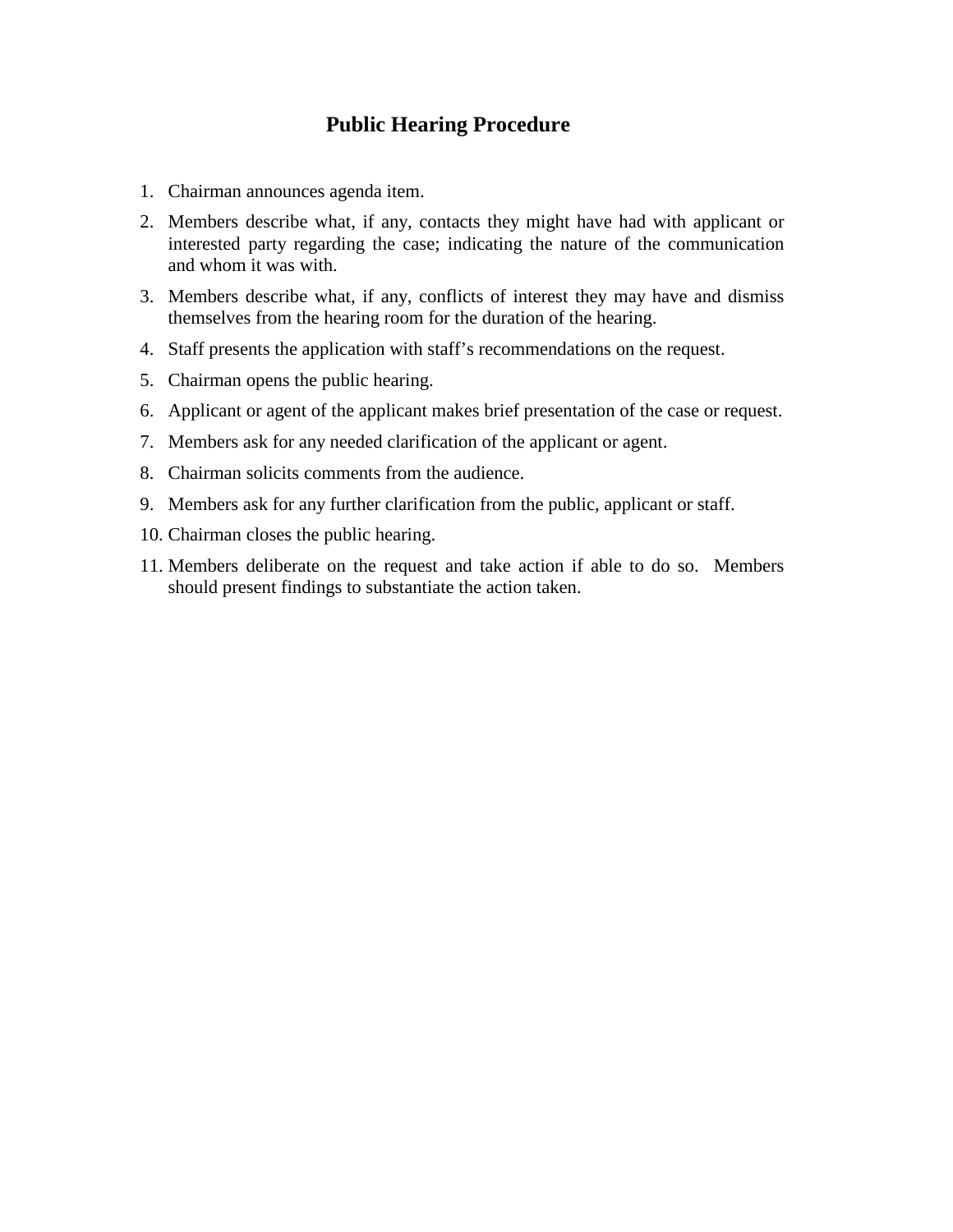# **Public Hearing Procedure**

- 1. Chairman announces agenda item.
- 2. Members describe what, if any, contacts they might have had with applicant or interested party regarding the case; indicating the nature of the communication and whom it was with.
- 3. Members describe what, if any, conflicts of interest they may have and dismiss themselves from the hearing room for the duration of the hearing.
- 4. Staff presents the application with staff's recommendations on the request.
- 5. Chairman opens the public hearing.
- 6. Applicant or agent of the applicant makes brief presentation of the case or request.
- 7. Members ask for any needed clarification of the applicant or agent.
- 8. Chairman solicits comments from the audience.
- 9. Members ask for any further clarification from the public, applicant or staff.
- 10. Chairman closes the public hearing.
- 11. Members deliberate on the request and take action if able to do so. Members should present findings to substantiate the action taken.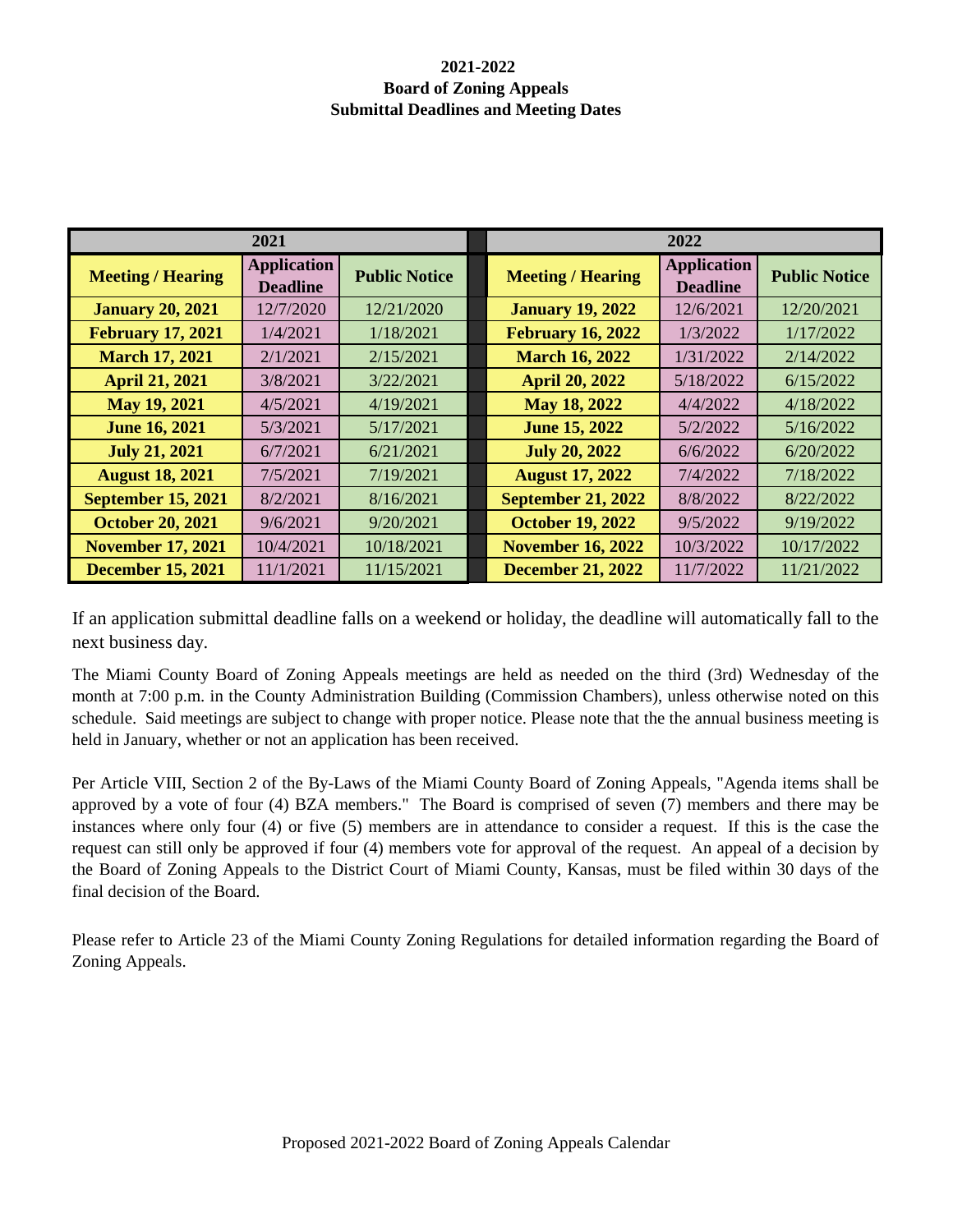### **2021-2022 Board of Zoning Appeals Submittal Deadlines and Meeting Dates**

| 2021                      |                                       |                      |  | 2022                      |                                       |                      |
|---------------------------|---------------------------------------|----------------------|--|---------------------------|---------------------------------------|----------------------|
| <b>Meeting / Hearing</b>  | <b>Application</b><br><b>Deadline</b> | <b>Public Notice</b> |  | <b>Meeting / Hearing</b>  | <b>Application</b><br><b>Deadline</b> | <b>Public Notice</b> |
| <b>January 20, 2021</b>   | 12/7/2020                             | 12/21/2020           |  | <b>January 19, 2022</b>   | 12/6/2021                             | 12/20/2021           |
| <b>February 17, 2021</b>  | 1/4/2021                              | 1/18/2021            |  | <b>February 16, 2022</b>  | 1/3/2022                              | 1/17/2022            |
| <b>March 17, 2021</b>     | 2/1/2021                              | 2/15/2021            |  | <b>March 16, 2022</b>     | 1/31/2022                             | 2/14/2022            |
| <b>April 21, 2021</b>     | 3/8/2021                              | 3/22/2021            |  | <b>April 20, 2022</b>     | 5/18/2022                             | 6/15/2022            |
| May 19, 2021              | 4/5/2021                              | 4/19/2021            |  | May 18, 2022              | 4/4/2022                              | 4/18/2022            |
| <b>June 16, 2021</b>      | 5/3/2021                              | 5/17/2021            |  | <b>June 15, 2022</b>      | 5/2/2022                              | 5/16/2022            |
| <b>July 21, 2021</b>      | 6/7/2021                              | 6/21/2021            |  | <b>July 20, 2022</b>      | 6/6/2022                              | 6/20/2022            |
| <b>August 18, 2021</b>    | 7/5/2021                              | 7/19/2021            |  | <b>August 17, 2022</b>    | 7/4/2022                              | 7/18/2022            |
| <b>September 15, 2021</b> | 8/2/2021                              | 8/16/2021            |  | <b>September 21, 2022</b> | 8/8/2022                              | 8/22/2022            |
| <b>October 20, 2021</b>   | 9/6/2021                              | 9/20/2021            |  | <b>October 19, 2022</b>   | 9/5/2022                              | 9/19/2022            |
| <b>November 17, 2021</b>  | 10/4/2021                             | 10/18/2021           |  | <b>November 16, 2022</b>  | 10/3/2022                             | 10/17/2022           |
| <b>December 15, 2021</b>  | 11/1/2021                             | 11/15/2021           |  | <b>December 21, 2022</b>  | 11/7/2022                             | 11/21/2022           |

If an application submittal deadline falls on a weekend or holiday, the deadline will automatically fall to the next business day.

The Miami County Board of Zoning Appeals meetings are held as needed on the third (3rd) Wednesday of the month at 7:00 p.m. in the County Administration Building (Commission Chambers), unless otherwise noted on this schedule. Said meetings are subject to change with proper notice. Please note that the the annual business meeting is held in January, whether or not an application has been received.

Per Article VIII, Section 2 of the By-Laws of the Miami County Board of Zoning Appeals, "Agenda items shall be approved by a vote of four (4) BZA members." The Board is comprised of seven (7) members and there may be instances where only four (4) or five (5) members are in attendance to consider a request. If this is the case the request can still only be approved if four (4) members vote for approval of the request. An appeal of a decision by the Board of Zoning Appeals to the District Court of Miami County, Kansas, must be filed within 30 days of the final decision of the Board.

Please refer to Article 23 of the Miami County Zoning Regulations for detailed information regarding the Board of Zoning Appeals.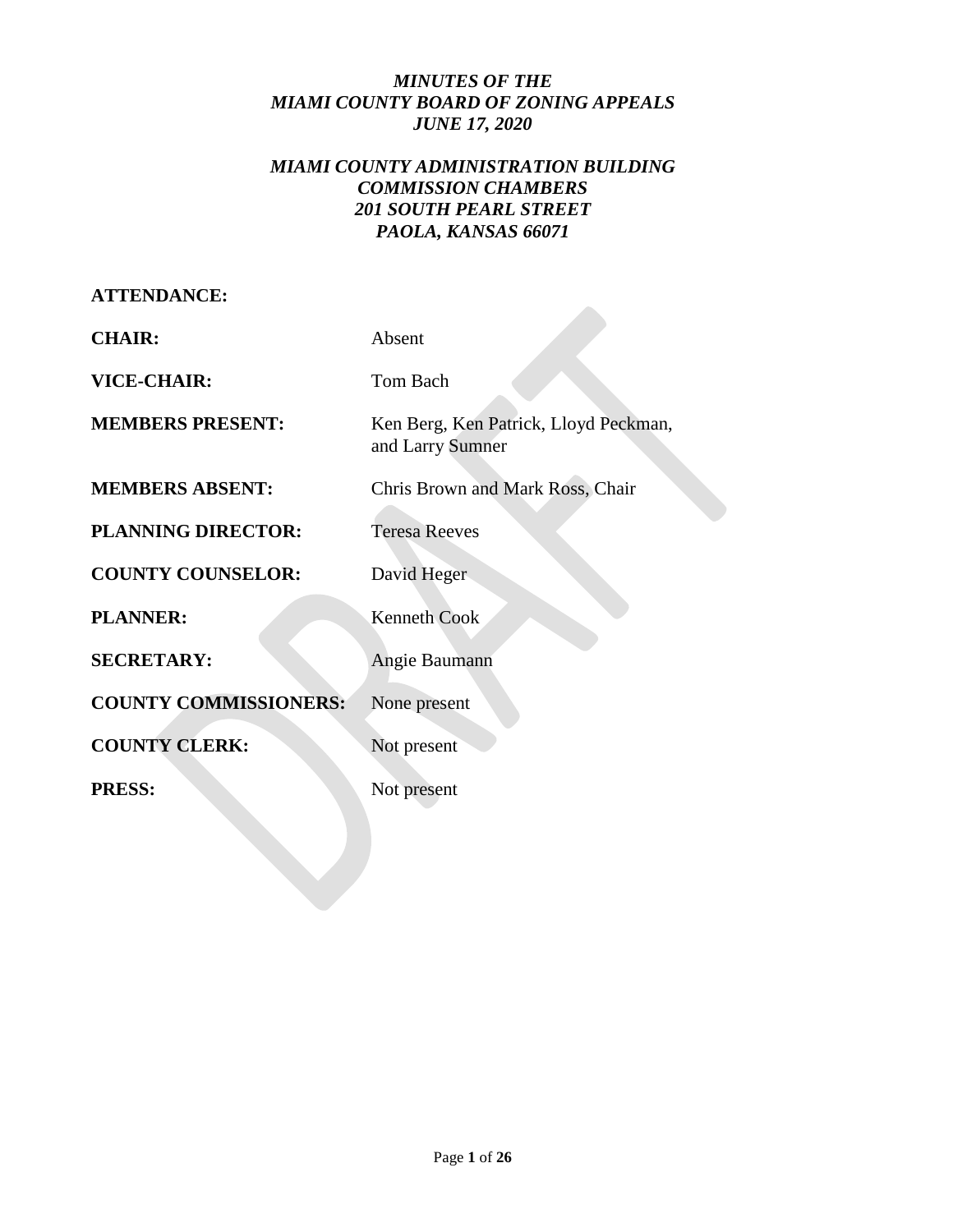# *MINUTES OF THE MIAMI COUNTY BOARD OF ZONING APPEALS JUNE 17, 2020*

# *MIAMI COUNTY ADMINISTRATION BUILDING COMMISSION CHAMBERS 201 SOUTH PEARL STREET PAOLA, KANSAS 66071*

| Absent                                                    |  |  |
|-----------------------------------------------------------|--|--|
| Tom Bach                                                  |  |  |
| Ken Berg, Ken Patrick, Lloyd Peckman,<br>and Larry Sumner |  |  |
| Chris Brown and Mark Ross, Chair                          |  |  |
| <b>Teresa Reeves</b>                                      |  |  |
| David Heger                                               |  |  |
| <b>Kenneth Cook</b>                                       |  |  |
| Angie Baumann                                             |  |  |
| None present                                              |  |  |
| Not present                                               |  |  |
| Not present                                               |  |  |
|                                                           |  |  |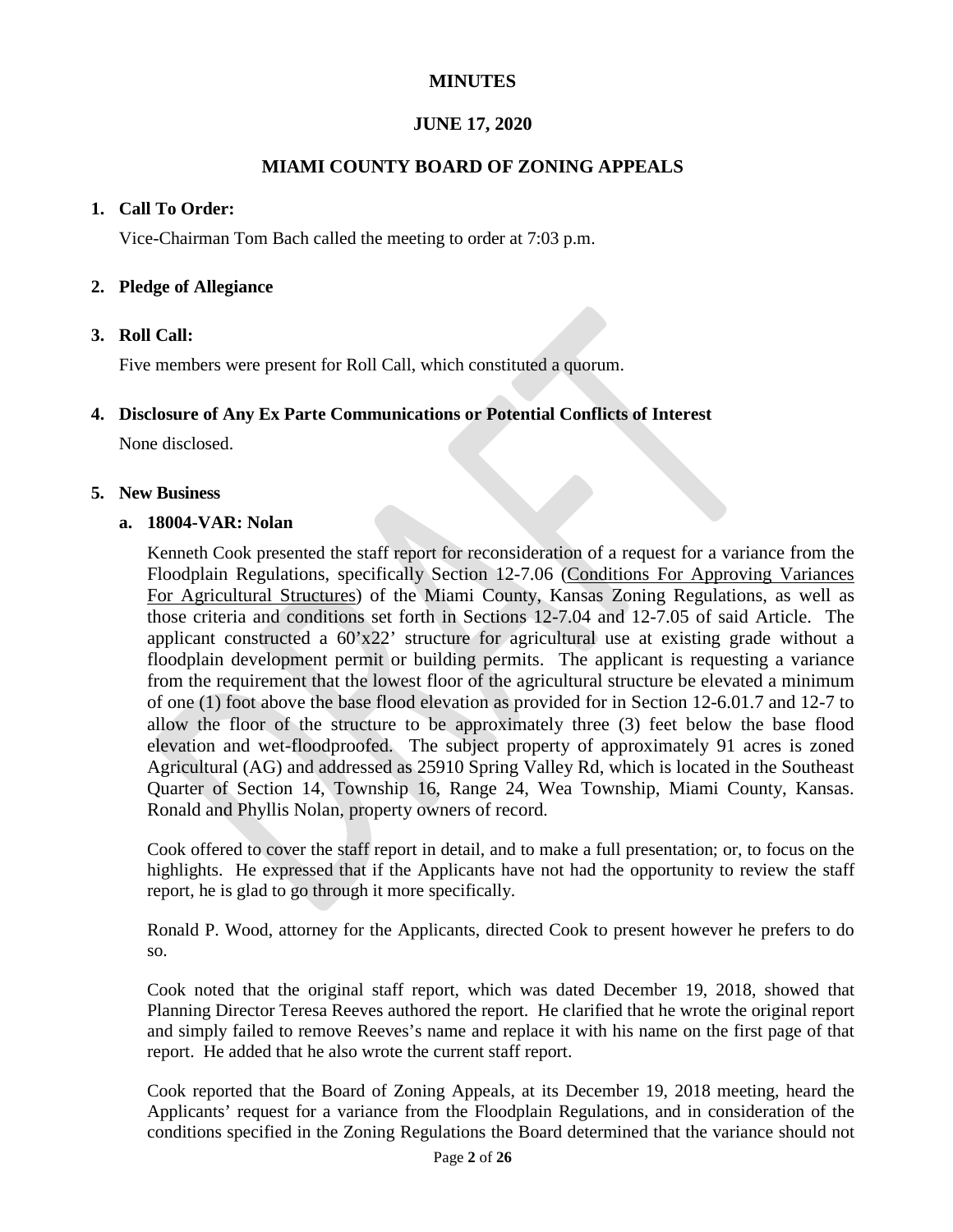# **MINUTES**

# **JUNE 17, 2020**

# **MIAMI COUNTY BOARD OF ZONING APPEALS**

### **1. Call To Order:**

Vice-Chairman Tom Bach called the meeting to order at 7:03 p.m.

### **2. Pledge of Allegiance**

### **3. Roll Call:**

Five members were present for Roll Call, which constituted a quorum.

#### **4. Disclosure of Any Ex Parte Communications or Potential Conflicts of Interest**

None disclosed.

#### **5. New Business**

#### **a. 18004-VAR: Nolan**

Kenneth Cook presented the staff report for reconsideration of a request for a variance from the Floodplain Regulations, specifically Section 12-7.06 (Conditions For Approving Variances For Agricultural Structures) of the Miami County, Kansas Zoning Regulations, as well as those criteria and conditions set forth in Sections 12-7.04 and 12-7.05 of said Article. The applicant constructed a 60'x22' structure for agricultural use at existing grade without a floodplain development permit or building permits. The applicant is requesting a variance from the requirement that the lowest floor of the agricultural structure be elevated a minimum of one (1) foot above the base flood elevation as provided for in Section 12-6.01.7 and 12-7 to allow the floor of the structure to be approximately three (3) feet below the base flood elevation and wet-floodproofed. The subject property of approximately 91 acres is zoned Agricultural (AG) and addressed as 25910 Spring Valley Rd, which is located in the Southeast Quarter of Section 14, Township 16, Range 24, Wea Township, Miami County, Kansas. Ronald and Phyllis Nolan, property owners of record.

Cook offered to cover the staff report in detail, and to make a full presentation; or, to focus on the highlights. He expressed that if the Applicants have not had the opportunity to review the staff report, he is glad to go through it more specifically.

Ronald P. Wood, attorney for the Applicants, directed Cook to present however he prefers to do so.

Cook noted that the original staff report, which was dated December 19, 2018, showed that Planning Director Teresa Reeves authored the report. He clarified that he wrote the original report and simply failed to remove Reeves's name and replace it with his name on the first page of that report. He added that he also wrote the current staff report.

Cook reported that the Board of Zoning Appeals, at its December 19, 2018 meeting, heard the Applicants' request for a variance from the Floodplain Regulations, and in consideration of the conditions specified in the Zoning Regulations the Board determined that the variance should not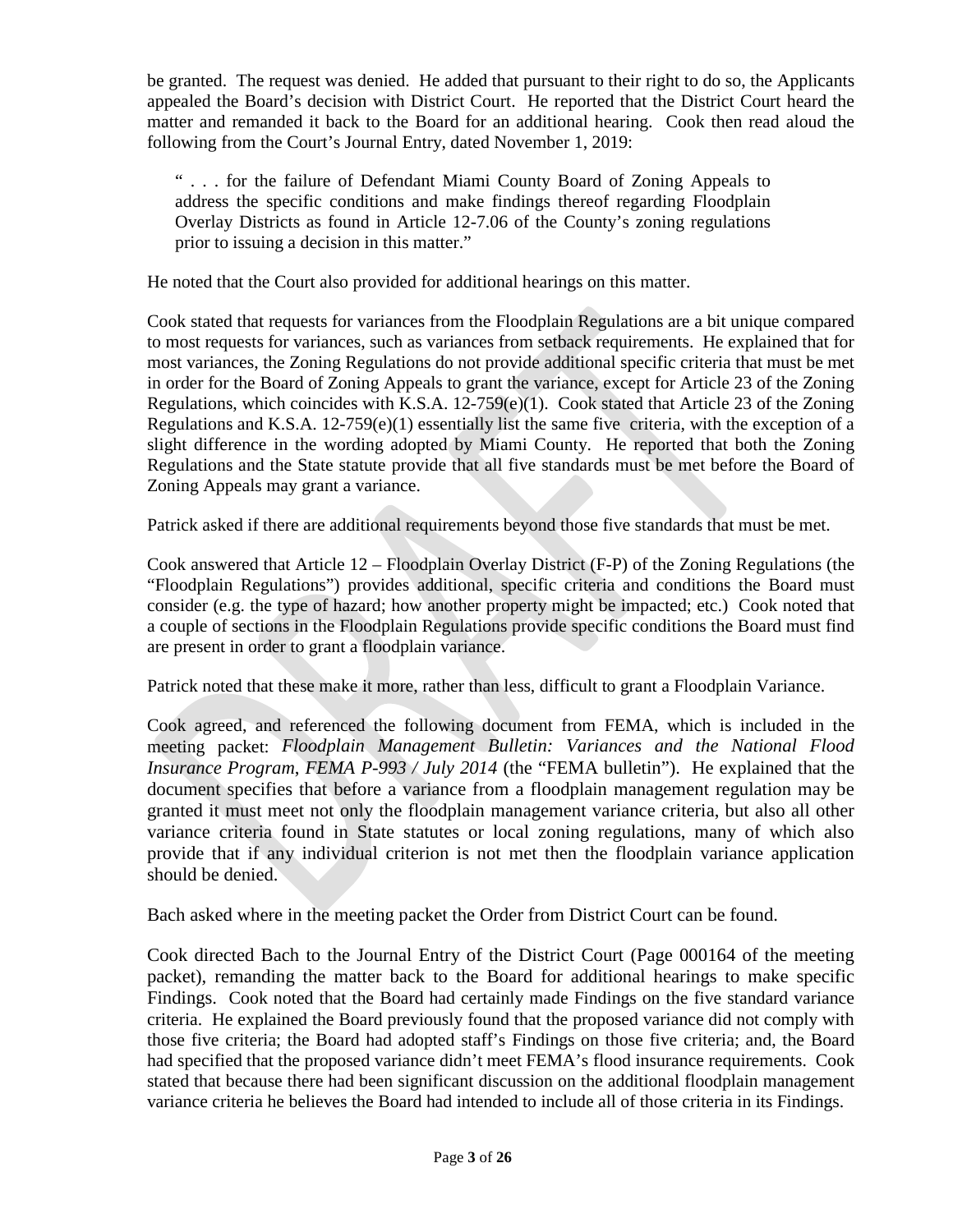be granted. The request was denied. He added that pursuant to their right to do so, the Applicants appealed the Board's decision with District Court. He reported that the District Court heard the matter and remanded it back to the Board for an additional hearing. Cook then read aloud the following from the Court's Journal Entry, dated November 1, 2019:

" . . . for the failure of Defendant Miami County Board of Zoning Appeals to address the specific conditions and make findings thereof regarding Floodplain Overlay Districts as found in Article 12-7.06 of the County's zoning regulations prior to issuing a decision in this matter."

He noted that the Court also provided for additional hearings on this matter.

Cook stated that requests for variances from the Floodplain Regulations are a bit unique compared to most requests for variances, such as variances from setback requirements. He explained that for most variances, the Zoning Regulations do not provide additional specific criteria that must be met in order for the Board of Zoning Appeals to grant the variance, except for Article 23 of the Zoning Regulations, which coincides with K.S.A.  $12-759(e)(1)$ . Cook stated that Article 23 of the Zoning Regulations and K.S.A.  $12-759(e)(1)$  essentially list the same five criteria, with the exception of a slight difference in the wording adopted by Miami County. He reported that both the Zoning Regulations and the State statute provide that all five standards must be met before the Board of Zoning Appeals may grant a variance.

Patrick asked if there are additional requirements beyond those five standards that must be met.

Cook answered that Article 12 – Floodplain Overlay District (F-P) of the Zoning Regulations (the "Floodplain Regulations") provides additional, specific criteria and conditions the Board must consider (e.g. the type of hazard; how another property might be impacted; etc.) Cook noted that a couple of sections in the Floodplain Regulations provide specific conditions the Board must find are present in order to grant a floodplain variance.

Patrick noted that these make it more, rather than less, difficult to grant a Floodplain Variance.

Cook agreed, and referenced the following document from FEMA, which is included in the meeting packet: *Floodplain Management Bulletin: Variances and the National Flood Insurance Program*, *FEMA P-993 / July 2014* (the "FEMA bulletin"). He explained that the document specifies that before a variance from a floodplain management regulation may be granted it must meet not only the floodplain management variance criteria, but also all other variance criteria found in State statutes or local zoning regulations, many of which also provide that if any individual criterion is not met then the floodplain variance application should be denied.

Bach asked where in the meeting packet the Order from District Court can be found.

Cook directed Bach to the Journal Entry of the District Court (Page 000164 of the meeting packet), remanding the matter back to the Board for additional hearings to make specific Findings. Cook noted that the Board had certainly made Findings on the five standard variance criteria. He explained the Board previously found that the proposed variance did not comply with those five criteria; the Board had adopted staff's Findings on those five criteria; and, the Board had specified that the proposed variance didn't meet FEMA's flood insurance requirements. Cook stated that because there had been significant discussion on the additional floodplain management variance criteria he believes the Board had intended to include all of those criteria in its Findings.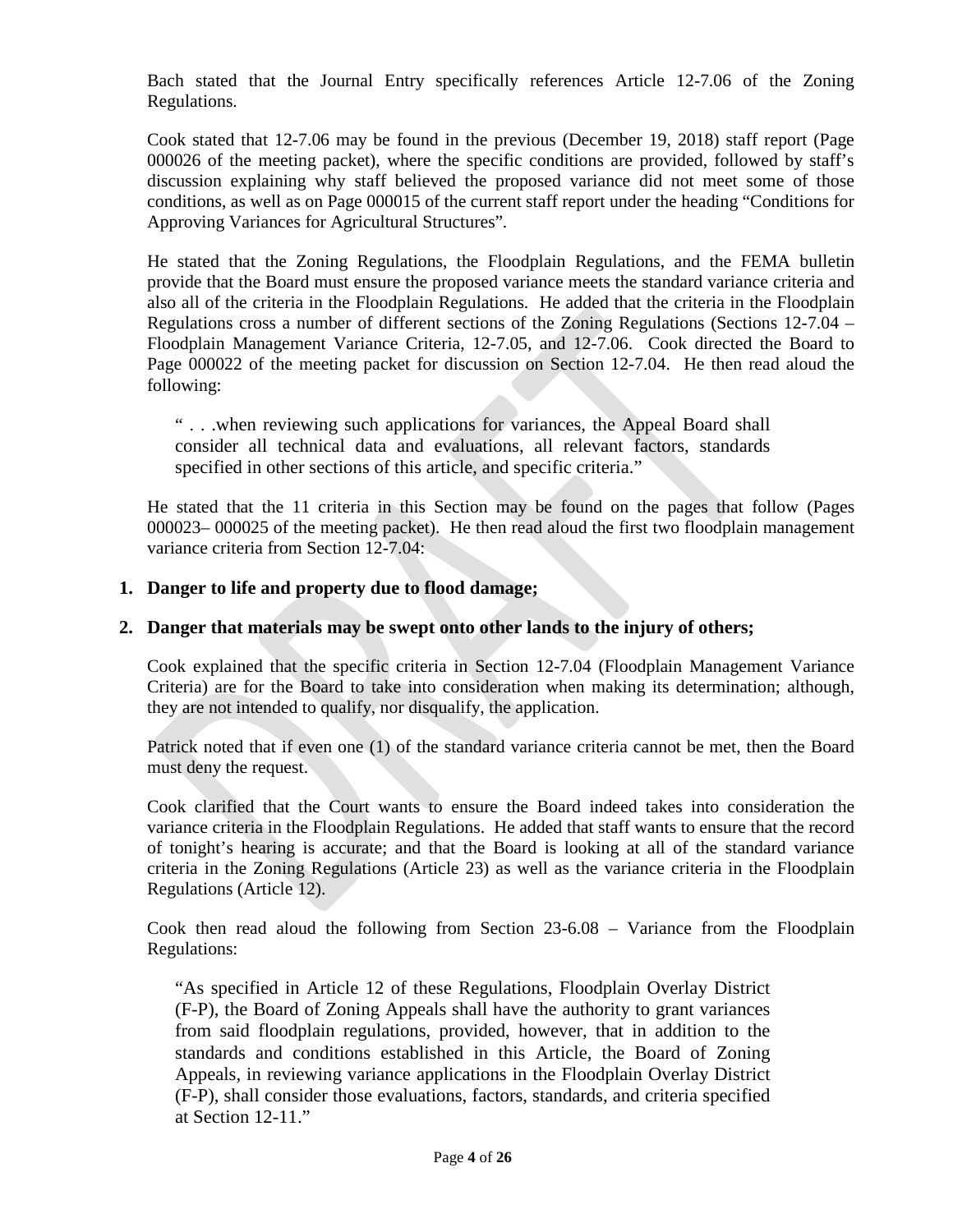Bach stated that the Journal Entry specifically references Article 12-7.06 of the Zoning Regulations.

Cook stated that 12-7.06 may be found in the previous (December 19, 2018) staff report (Page 000026 of the meeting packet), where the specific conditions are provided, followed by staff's discussion explaining why staff believed the proposed variance did not meet some of those conditions, as well as on Page 000015 of the current staff report under the heading "Conditions for Approving Variances for Agricultural Structures"*.* 

He stated that the Zoning Regulations, the Floodplain Regulations, and the FEMA bulletin provide that the Board must ensure the proposed variance meets the standard variance criteria and also all of the criteria in the Floodplain Regulations. He added that the criteria in the Floodplain Regulations cross a number of different sections of the Zoning Regulations (Sections 12-7.04 – Floodplain Management Variance Criteria, 12-7.05, and 12-7.06. Cook directed the Board to Page 000022 of the meeting packet for discussion on Section 12-7.04. He then read aloud the following:

" . . .when reviewing such applications for variances, the Appeal Board shall consider all technical data and evaluations, all relevant factors, standards specified in other sections of this article, and specific criteria."

He stated that the 11 criteria in this Section may be found on the pages that follow (Pages 000023– 000025 of the meeting packet). He then read aloud the first two floodplain management variance criteria from Section 12-7.04:

#### **1. Danger to life and property due to flood damage;**

#### **2. Danger that materials may be swept onto other lands to the injury of others;**

Cook explained that the specific criteria in Section 12-7.04 (Floodplain Management Variance Criteria) are for the Board to take into consideration when making its determination; although, they are not intended to qualify, nor disqualify, the application.

Patrick noted that if even one (1) of the standard variance criteria cannot be met, then the Board must deny the request.

Cook clarified that the Court wants to ensure the Board indeed takes into consideration the variance criteria in the Floodplain Regulations. He added that staff wants to ensure that the record of tonight's hearing is accurate; and that the Board is looking at all of the standard variance criteria in the Zoning Regulations (Article 23) as well as the variance criteria in the Floodplain Regulations (Article 12).

Cook then read aloud the following from Section 23-6.08 – Variance from the Floodplain Regulations:

"As specified in Article 12 of these Regulations, Floodplain Overlay District (F-P), the Board of Zoning Appeals shall have the authority to grant variances from said floodplain regulations, provided, however, that in addition to the standards and conditions established in this Article, the Board of Zoning Appeals, in reviewing variance applications in the Floodplain Overlay District (F-P), shall consider those evaluations, factors, standards, and criteria specified at Section 12-11."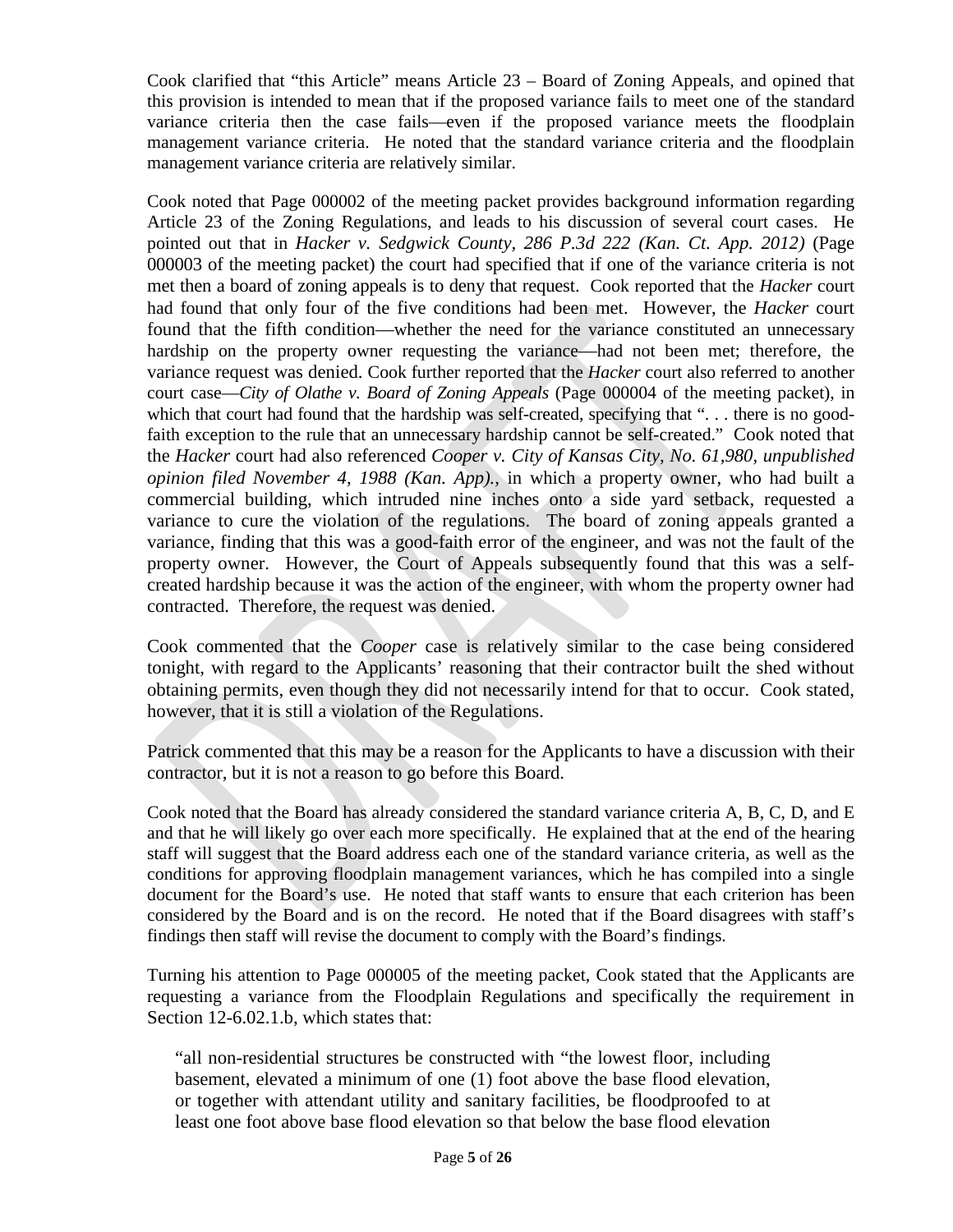Cook clarified that "this Article" means Article 23 – Board of Zoning Appeals, and opined that this provision is intended to mean that if the proposed variance fails to meet one of the standard variance criteria then the case fails—even if the proposed variance meets the floodplain management variance criteria. He noted that the standard variance criteria and the floodplain management variance criteria are relatively similar.

Cook noted that Page 000002 of the meeting packet provides background information regarding Article 23 of the Zoning Regulations, and leads to his discussion of several court cases. He pointed out that in *Hacker v. Sedgwick County, 286 P.3d 222 (Kan. Ct. App. 2012)* (Page 000003 of the meeting packet) the court had specified that if one of the variance criteria is not met then a board of zoning appeals is to deny that request. Cook reported that the *Hacker* court had found that only four of the five conditions had been met. However, the *Hacker* court found that the fifth condition—whether the need for the variance constituted an unnecessary hardship on the property owner requesting the variance—had not been met; therefore, the variance request was denied. Cook further reported that the *Hacker* court also referred to another court case—*City of Olathe v. Board of Zoning Appeals* (Page 000004 of the meeting packet), in which that court had found that the hardship was self-created, specifying that "... there is no goodfaith exception to the rule that an unnecessary hardship cannot be self-created." Cook noted that the *Hacker* court had also referenced *Cooper v. City of Kansas City, No. 61,980, unpublished opinion filed November 4, 1988 (Kan. App).,* in which a property owner, who had built a commercial building, which intruded nine inches onto a side yard setback, requested a variance to cure the violation of the regulations. The board of zoning appeals granted a variance, finding that this was a good-faith error of the engineer, and was not the fault of the property owner. However, the Court of Appeals subsequently found that this was a selfcreated hardship because it was the action of the engineer, with whom the property owner had contracted. Therefore, the request was denied.

Cook commented that the *Cooper* case is relatively similar to the case being considered tonight, with regard to the Applicants' reasoning that their contractor built the shed without obtaining permits, even though they did not necessarily intend for that to occur. Cook stated, however, that it is still a violation of the Regulations.

Patrick commented that this may be a reason for the Applicants to have a discussion with their contractor, but it is not a reason to go before this Board.

Cook noted that the Board has already considered the standard variance criteria A, B, C, D, and E and that he will likely go over each more specifically. He explained that at the end of the hearing staff will suggest that the Board address each one of the standard variance criteria, as well as the conditions for approving floodplain management variances, which he has compiled into a single document for the Board's use. He noted that staff wants to ensure that each criterion has been considered by the Board and is on the record. He noted that if the Board disagrees with staff's findings then staff will revise the document to comply with the Board's findings.

Turning his attention to Page 000005 of the meeting packet, Cook stated that the Applicants are requesting a variance from the Floodplain Regulations and specifically the requirement in Section 12-6.02.1.b, which states that:

"all non-residential structures be constructed with "the lowest floor, including basement, elevated a minimum of one (1) foot above the base flood elevation, or together with attendant utility and sanitary facilities, be floodproofed to at least one foot above base flood elevation so that below the base flood elevation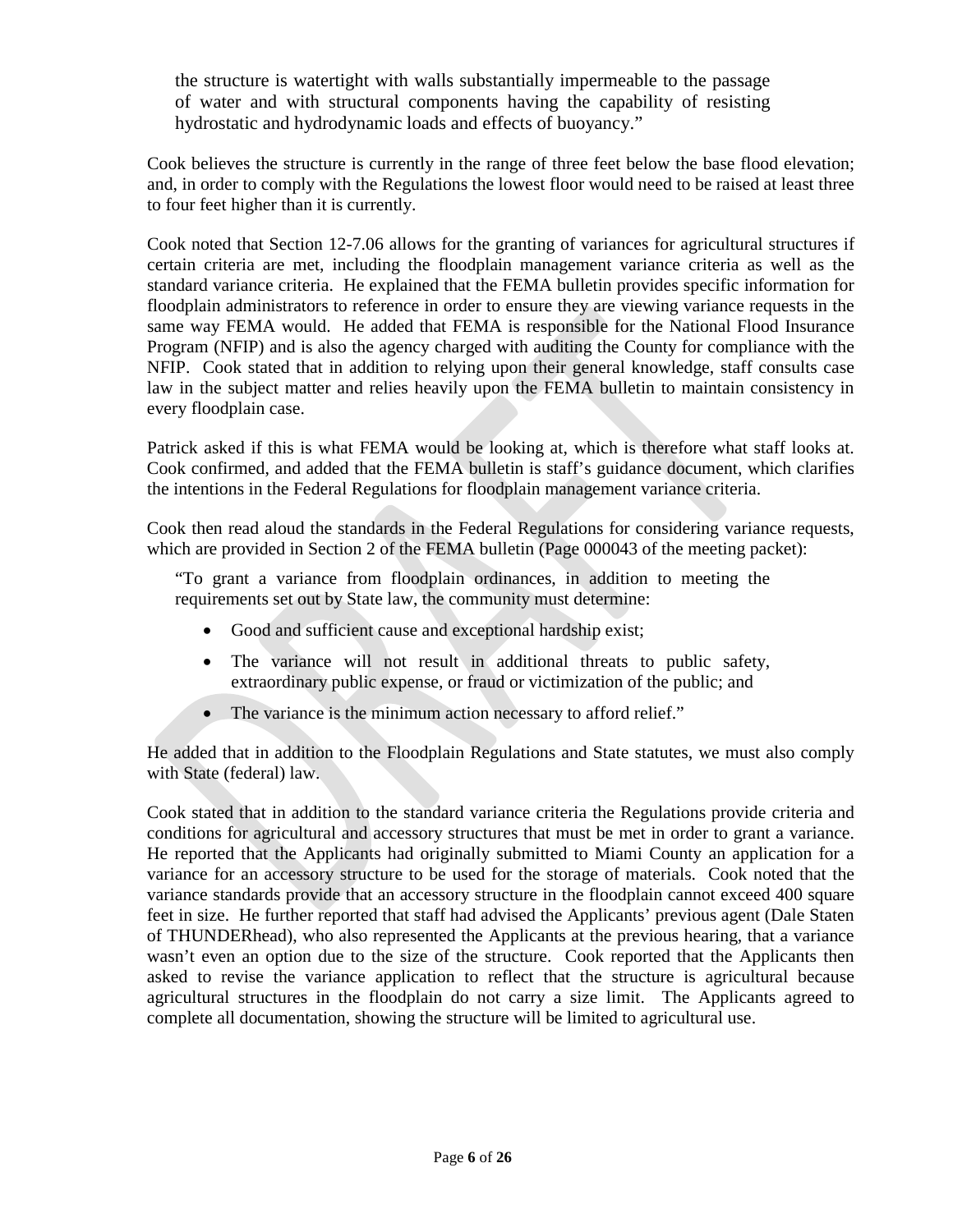the structure is watertight with walls substantially impermeable to the passage of water and with structural components having the capability of resisting hydrostatic and hydrodynamic loads and effects of buoyancy."

Cook believes the structure is currently in the range of three feet below the base flood elevation; and, in order to comply with the Regulations the lowest floor would need to be raised at least three to four feet higher than it is currently.

Cook noted that Section 12-7.06 allows for the granting of variances for agricultural structures if certain criteria are met, including the floodplain management variance criteria as well as the standard variance criteria. He explained that the FEMA bulletin provides specific information for floodplain administrators to reference in order to ensure they are viewing variance requests in the same way FEMA would. He added that FEMA is responsible for the National Flood Insurance Program (NFIP) and is also the agency charged with auditing the County for compliance with the NFIP. Cook stated that in addition to relying upon their general knowledge, staff consults case law in the subject matter and relies heavily upon the FEMA bulletin to maintain consistency in every floodplain case.

Patrick asked if this is what FEMA would be looking at, which is therefore what staff looks at. Cook confirmed, and added that the FEMA bulletin is staff's guidance document, which clarifies the intentions in the Federal Regulations for floodplain management variance criteria.

Cook then read aloud the standards in the Federal Regulations for considering variance requests, which are provided in Section 2 of the FEMA bulletin (Page 000043 of the meeting packet):

"To grant a variance from floodplain ordinances, in addition to meeting the requirements set out by State law, the community must determine:

- Good and sufficient cause and exceptional hardship exist;
- The variance will not result in additional threats to public safety, extraordinary public expense, or fraud or victimization of the public; and
- The variance is the minimum action necessary to afford relief."

He added that in addition to the Floodplain Regulations and State statutes, we must also comply with State (federal) law.

Cook stated that in addition to the standard variance criteria the Regulations provide criteria and conditions for agricultural and accessory structures that must be met in order to grant a variance. He reported that the Applicants had originally submitted to Miami County an application for a variance for an accessory structure to be used for the storage of materials. Cook noted that the variance standards provide that an accessory structure in the floodplain cannot exceed 400 square feet in size. He further reported that staff had advised the Applicants' previous agent (Dale Staten of THUNDERhead), who also represented the Applicants at the previous hearing, that a variance wasn't even an option due to the size of the structure. Cook reported that the Applicants then asked to revise the variance application to reflect that the structure is agricultural because agricultural structures in the floodplain do not carry a size limit. The Applicants agreed to complete all documentation, showing the structure will be limited to agricultural use.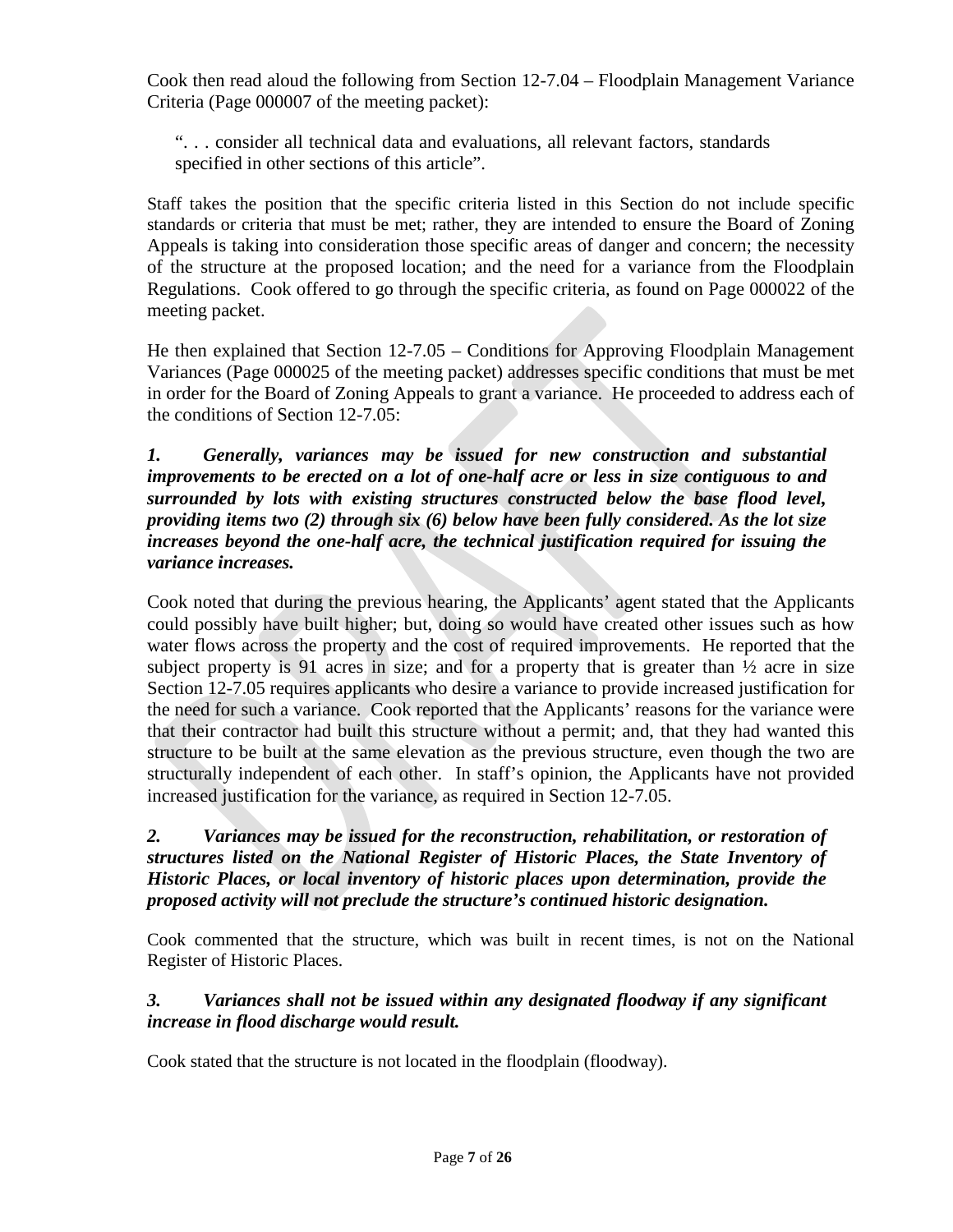Cook then read aloud the following from Section 12-7.04 – Floodplain Management Variance Criteria (Page 000007 of the meeting packet):

". . . consider all technical data and evaluations, all relevant factors, standards specified in other sections of this article".

Staff takes the position that the specific criteria listed in this Section do not include specific standards or criteria that must be met; rather, they are intended to ensure the Board of Zoning Appeals is taking into consideration those specific areas of danger and concern; the necessity of the structure at the proposed location; and the need for a variance from the Floodplain Regulations. Cook offered to go through the specific criteria, as found on Page 000022 of the meeting packet.

He then explained that Section 12-7.05 – Conditions for Approving Floodplain Management Variances (Page 000025 of the meeting packet) addresses specific conditions that must be met in order for the Board of Zoning Appeals to grant a variance. He proceeded to address each of the conditions of Section 12-7.05:

*1. Generally, variances may be issued for new construction and substantial improvements to be erected on a lot of one-half acre or less in size contiguous to and surrounded by lots with existing structures constructed below the base flood level, providing items two (2) through six (6) below have been fully considered. As the lot size increases beyond the one-half acre, the technical justification required for issuing the variance increases.*

Cook noted that during the previous hearing, the Applicants' agent stated that the Applicants could possibly have built higher; but, doing so would have created other issues such as how water flows across the property and the cost of required improvements. He reported that the subject property is 91 acres in size; and for a property that is greater than  $\frac{1}{2}$  acre in size Section 12-7.05 requires applicants who desire a variance to provide increased justification for the need for such a variance. Cook reported that the Applicants' reasons for the variance were that their contractor had built this structure without a permit; and, that they had wanted this structure to be built at the same elevation as the previous structure, even though the two are structurally independent of each other. In staff's opinion, the Applicants have not provided increased justification for the variance, as required in Section 12-7.05.

# *2. Variances may be issued for the reconstruction, rehabilitation, or restoration of structures listed on the National Register of Historic Places, the State Inventory of Historic Places, or local inventory of historic places upon determination, provide the proposed activity will not preclude the structure's continued historic designation.*

Cook commented that the structure, which was built in recent times, is not on the National Register of Historic Places.

# *3. Variances shall not be issued within any designated floodway if any significant increase in flood discharge would result.*

Cook stated that the structure is not located in the floodplain (floodway).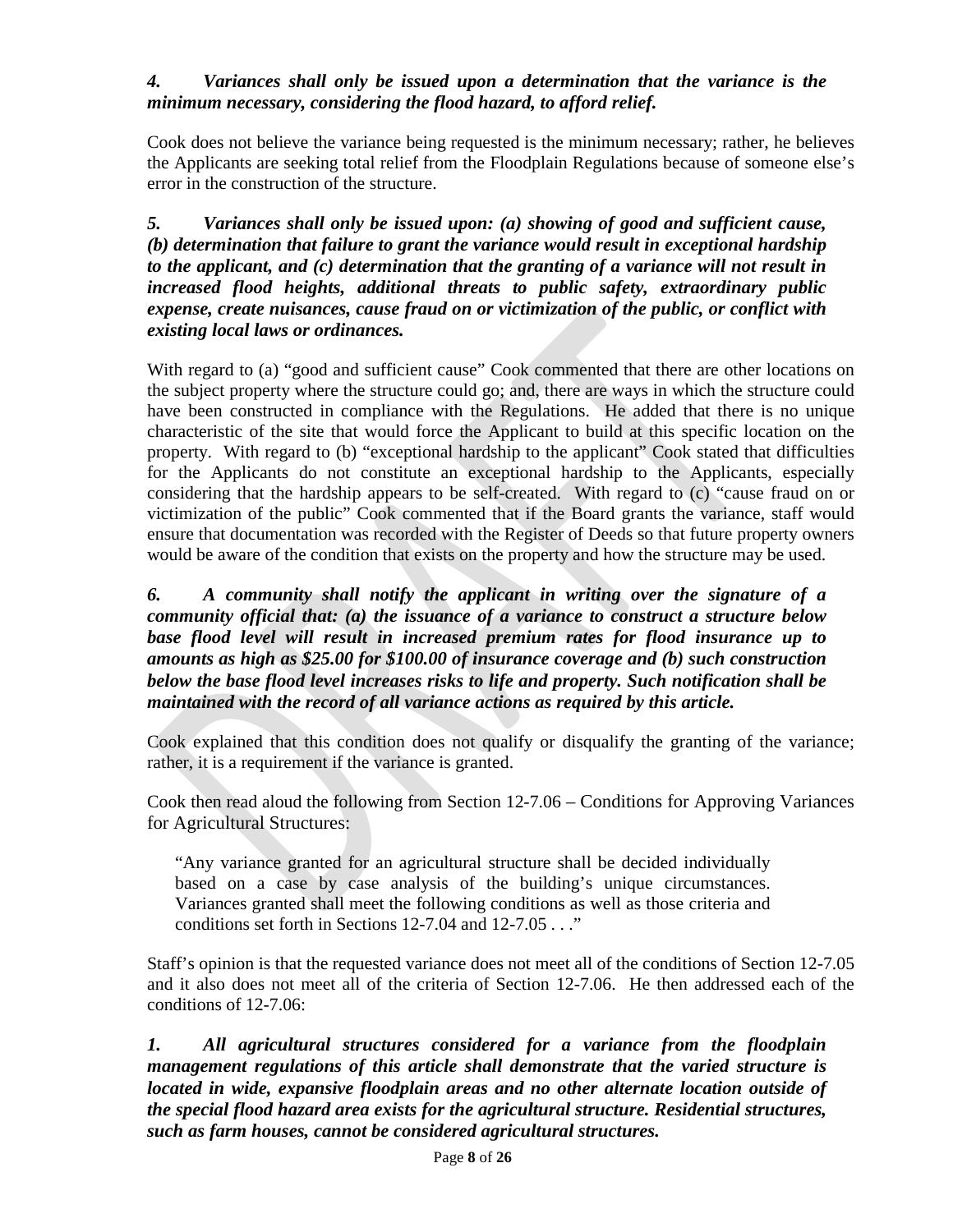### *4. Variances shall only be issued upon a determination that the variance is the minimum necessary, considering the flood hazard, to afford relief.*

Cook does not believe the variance being requested is the minimum necessary; rather, he believes the Applicants are seeking total relief from the Floodplain Regulations because of someone else's error in the construction of the structure.

*5. Variances shall only be issued upon: (a) showing of good and sufficient cause, (b) determination that failure to grant the variance would result in exceptional hardship to the applicant, and (c) determination that the granting of a variance will not result in increased flood heights, additional threats to public safety, extraordinary public expense, create nuisances, cause fraud on or victimization of the public, or conflict with existing local laws or ordinances.*

With regard to (a) "good and sufficient cause" Cook commented that there are other locations on the subject property where the structure could go; and, there are ways in which the structure could have been constructed in compliance with the Regulations. He added that there is no unique characteristic of the site that would force the Applicant to build at this specific location on the property. With regard to (b) "exceptional hardship to the applicant" Cook stated that difficulties for the Applicants do not constitute an exceptional hardship to the Applicants, especially considering that the hardship appears to be self-created. With regard to (c) "cause fraud on or victimization of the public" Cook commented that if the Board grants the variance, staff would ensure that documentation was recorded with the Register of Deeds so that future property owners would be aware of the condition that exists on the property and how the structure may be used.

*6. A community shall notify the applicant in writing over the signature of a community official that: (a) the issuance of a variance to construct a structure below base flood level will result in increased premium rates for flood insurance up to amounts as high as \$25.00 for \$100.00 of insurance coverage and (b) such construction below the base flood level increases risks to life and property. Such notification shall be maintained with the record of all variance actions as required by this article.*

Cook explained that this condition does not qualify or disqualify the granting of the variance; rather, it is a requirement if the variance is granted.

Cook then read aloud the following from Section 12-7.06 – Conditions for Approving Variances for Agricultural Structures:

"Any variance granted for an agricultural structure shall be decided individually based on a case by case analysis of the building's unique circumstances. Variances granted shall meet the following conditions as well as those criteria and conditions set forth in Sections 12-7.04 and 12-7.05 . . ."

Staff's opinion is that the requested variance does not meet all of the conditions of Section 12-7.05 and it also does not meet all of the criteria of Section 12-7.06. He then addressed each of the conditions of 12-7.06:

*1. All agricultural structures considered for a variance from the floodplain management regulations of this article shall demonstrate that the varied structure is located in wide, expansive floodplain areas and no other alternate location outside of the special flood hazard area exists for the agricultural structure. Residential structures, such as farm houses, cannot be considered agricultural structures.*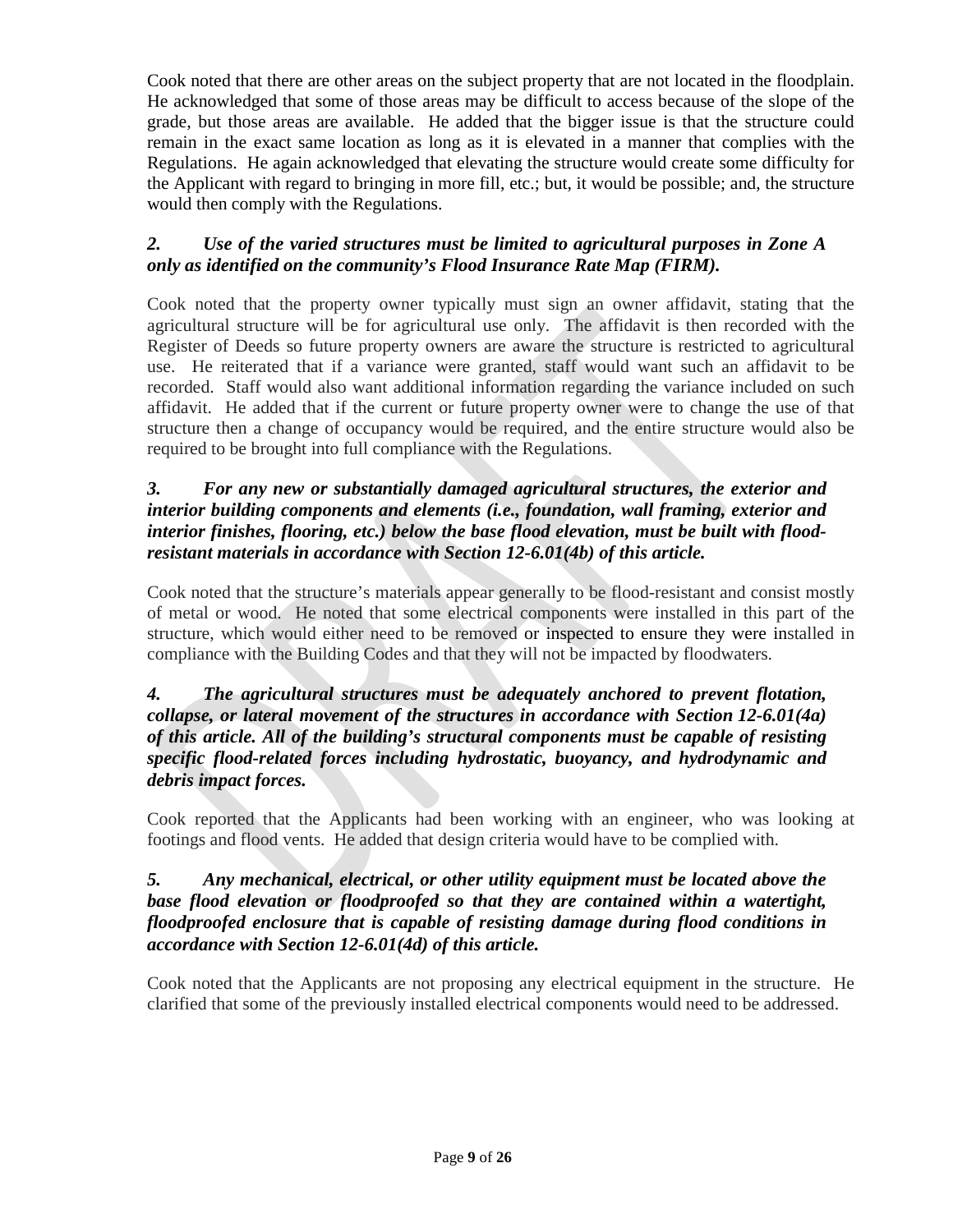Cook noted that there are other areas on the subject property that are not located in the floodplain. He acknowledged that some of those areas may be difficult to access because of the slope of the grade, but those areas are available. He added that the bigger issue is that the structure could remain in the exact same location as long as it is elevated in a manner that complies with the Regulations. He again acknowledged that elevating the structure would create some difficulty for the Applicant with regard to bringing in more fill, etc.; but, it would be possible; and, the structure would then comply with the Regulations.

# *2. Use of the varied structures must be limited to agricultural purposes in Zone A only as identified on the community's Flood Insurance Rate Map (FIRM).*

Cook noted that the property owner typically must sign an owner affidavit, stating that the agricultural structure will be for agricultural use only. The affidavit is then recorded with the Register of Deeds so future property owners are aware the structure is restricted to agricultural use. He reiterated that if a variance were granted, staff would want such an affidavit to be recorded. Staff would also want additional information regarding the variance included on such affidavit. He added that if the current or future property owner were to change the use of that structure then a change of occupancy would be required, and the entire structure would also be required to be brought into full compliance with the Regulations.

### *3. For any new or substantially damaged agricultural structures, the exterior and interior building components and elements (i.e., foundation, wall framing, exterior and interior finishes, flooring, etc.) below the base flood elevation, must be built with floodresistant materials in accordance with Section [12-6.01\(](https://www.codepublishing.com/KS/MiamiCounty/#!/MiamiCountyZR/MiamiCountyZR12.html#12-6.01)4b) of this article.*

Cook noted that the structure's materials appear generally to be flood-resistant and consist mostly of metal or wood. He noted that some electrical components were installed in this part of the structure, which would either need to be removed or inspected to ensure they were installed in compliance with the Building Codes and that they will not be impacted by floodwaters.

### *4. The agricultural structures must be adequately anchored to prevent flotation, collapse, or lateral movement of the structures in accordance with Section [12-6.01\(](https://www.codepublishing.com/KS/MiamiCounty/#!/MiamiCountyZR/MiamiCountyZR12.html#12-6.01)4a) of this article. All of the building's structural components must be capable of resisting specific flood-related forces including hydrostatic, buoyancy, and hydrodynamic and debris impact forces.*

Cook reported that the Applicants had been working with an engineer, who was looking at footings and flood vents. He added that design criteria would have to be complied with.

### *5. Any mechanical, electrical, or other utility equipment must be located above the base flood elevation or floodproofed so that they are contained within a watertight, floodproofed enclosure that is capable of resisting damage during flood conditions in accordance with Section [12-6.01\(](https://www.codepublishing.com/KS/MiamiCounty/#!/MiamiCountyZR/MiamiCountyZR12.html#12-6.01)4d) of this article.*

Cook noted that the Applicants are not proposing any electrical equipment in the structure. He clarified that some of the previously installed electrical components would need to be addressed.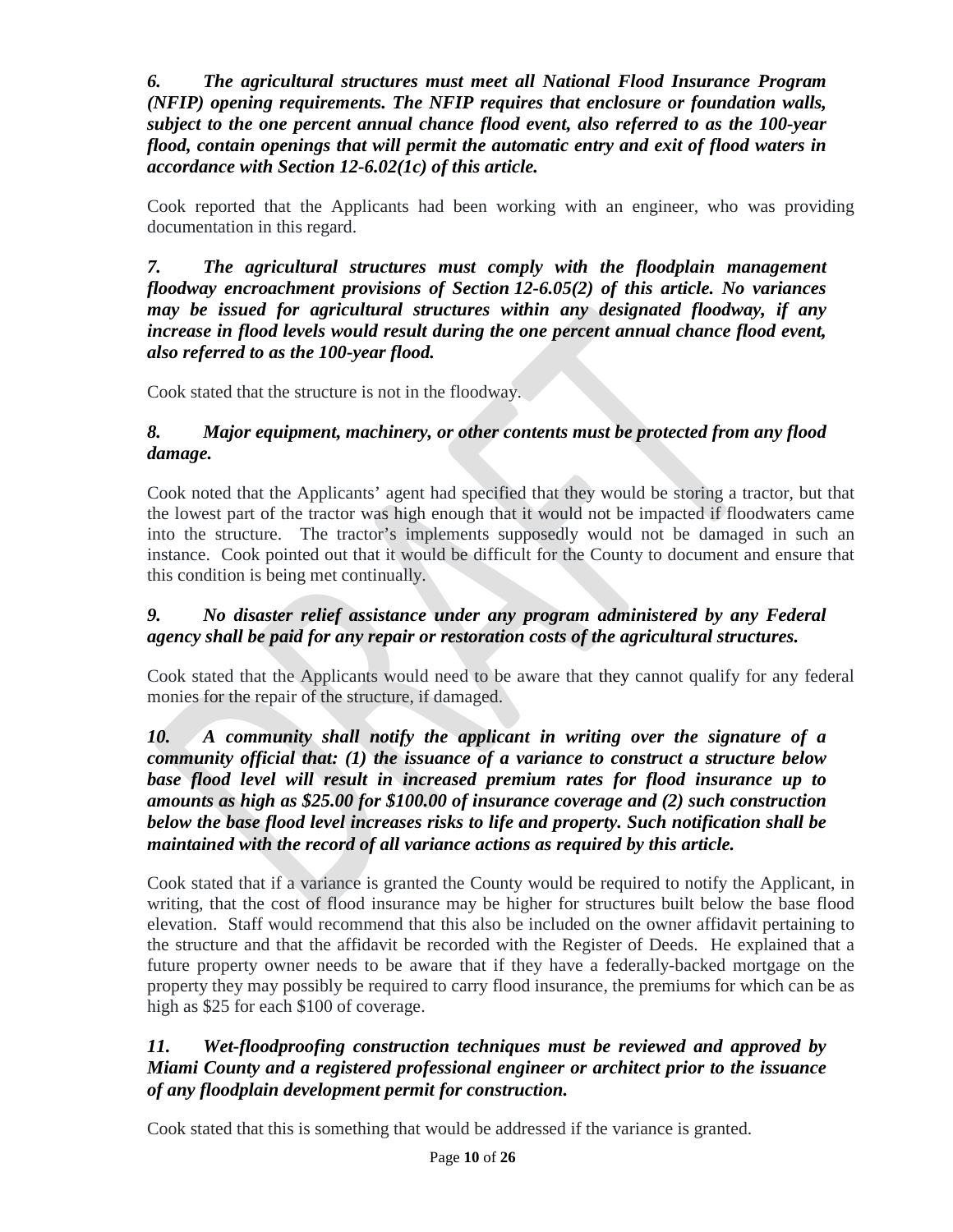*6. The agricultural structures must meet all National Flood Insurance Program (NFIP) opening requirements. The NFIP requires that enclosure or foundation walls, subject to the one percent annual chance flood event, also referred to as the 100-year flood, contain openings that will permit the automatic entry and exit of flood waters in accordance with Section [12-6.02\(](https://www.codepublishing.com/KS/MiamiCounty/#!/MiamiCountyZR/MiamiCountyZR12.html#12-6.02)1c) of this article.*

Cook reported that the Applicants had been working with an engineer, who was providing documentation in this regard.

*7. The agricultural structures must comply with the floodplain management floodway encroachment provisions of Section [12-6.05\(](https://www.codepublishing.com/KS/MiamiCounty/#!/MiamiCountyZR/MiamiCountyZR12.html#12-6.05)2) of this article. No variances may be issued for agricultural structures within any designated floodway, if any increase in flood levels would result during the one percent annual chance flood event, also referred to as the 100-year flood.*

Cook stated that the structure is not in the floodway.

# *8. Major equipment, machinery, or other contents must be protected from any flood damage.*

Cook noted that the Applicants' agent had specified that they would be storing a tractor, but that the lowest part of the tractor was high enough that it would not be impacted if floodwaters came into the structure. The tractor's implements supposedly would not be damaged in such an instance. Cook pointed out that it would be difficult for the County to document and ensure that this condition is being met continually.

# *9. No disaster relief assistance under any program administered by any Federal agency shall be paid for any repair or restoration costs of the agricultural structures.*

Cook stated that the Applicants would need to be aware that they cannot qualify for any federal monies for the repair of the structure, if damaged.

# *10. A community shall notify the applicant in writing over the signature of a community official that: (1) the issuance of a variance to construct a structure below base flood level will result in increased premium rates for flood insurance up to amounts as high as \$25.00 for \$100.00 of insurance coverage and (2) such construction below the base flood level increases risks to life and property. Such notification shall be maintained with the record of all variance actions as required by this article.*

Cook stated that if a variance is granted the County would be required to notify the Applicant, in writing, that the cost of flood insurance may be higher for structures built below the base flood elevation. Staff would recommend that this also be included on the owner affidavit pertaining to the structure and that the affidavit be recorded with the Register of Deeds. He explained that a future property owner needs to be aware that if they have a federally-backed mortgage on the property they may possibly be required to carry flood insurance, the premiums for which can be as high as \$25 for each \$100 of coverage.

# *11. Wet-floodproofing construction techniques must be reviewed and approved by Miami County and a registered professional engineer or architect prior to the issuance of any floodplain development permit for construction.*

Cook stated that this is something that would be addressed if the variance is granted.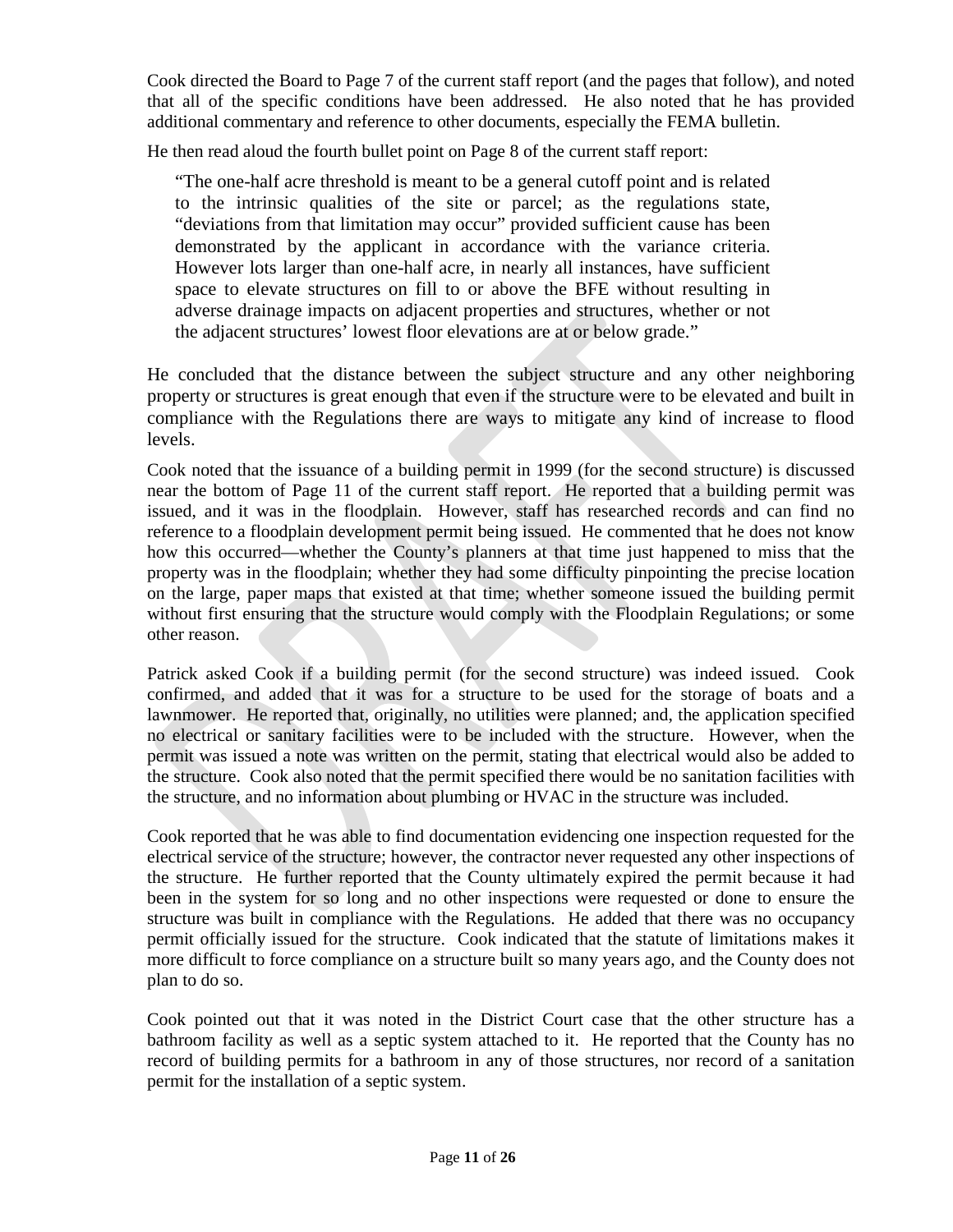Cook directed the Board to Page 7 of the current staff report (and the pages that follow), and noted that all of the specific conditions have been addressed. He also noted that he has provided additional commentary and reference to other documents, especially the FEMA bulletin.

He then read aloud the fourth bullet point on Page 8 of the current staff report:

"The one-half acre threshold is meant to be a general cutoff point and is related to the intrinsic qualities of the site or parcel; as the regulations state, "deviations from that limitation may occur" provided sufficient cause has been demonstrated by the applicant in accordance with the variance criteria. However lots larger than one-half acre, in nearly all instances, have sufficient space to elevate structures on fill to or above the BFE without resulting in adverse drainage impacts on adjacent properties and structures, whether or not the adjacent structures' lowest floor elevations are at or below grade."

He concluded that the distance between the subject structure and any other neighboring property or structures is great enough that even if the structure were to be elevated and built in compliance with the Regulations there are ways to mitigate any kind of increase to flood levels.

Cook noted that the issuance of a building permit in 1999 (for the second structure) is discussed near the bottom of Page 11 of the current staff report. He reported that a building permit was issued, and it was in the floodplain. However, staff has researched records and can find no reference to a floodplain development permit being issued. He commented that he does not know how this occurred—whether the County's planners at that time just happened to miss that the property was in the floodplain; whether they had some difficulty pinpointing the precise location on the large, paper maps that existed at that time; whether someone issued the building permit without first ensuring that the structure would comply with the Floodplain Regulations; or some other reason.

Patrick asked Cook if a building permit (for the second structure) was indeed issued. Cook confirmed, and added that it was for a structure to be used for the storage of boats and a lawnmower. He reported that, originally, no utilities were planned; and, the application specified no electrical or sanitary facilities were to be included with the structure. However, when the permit was issued a note was written on the permit, stating that electrical would also be added to the structure. Cook also noted that the permit specified there would be no sanitation facilities with the structure, and no information about plumbing or HVAC in the structure was included.

Cook reported that he was able to find documentation evidencing one inspection requested for the electrical service of the structure; however, the contractor never requested any other inspections of the structure. He further reported that the County ultimately expired the permit because it had been in the system for so long and no other inspections were requested or done to ensure the structure was built in compliance with the Regulations. He added that there was no occupancy permit officially issued for the structure. Cook indicated that the statute of limitations makes it more difficult to force compliance on a structure built so many years ago, and the County does not plan to do so.

Cook pointed out that it was noted in the District Court case that the other structure has a bathroom facility as well as a septic system attached to it. He reported that the County has no record of building permits for a bathroom in any of those structures, nor record of a sanitation permit for the installation of a septic system.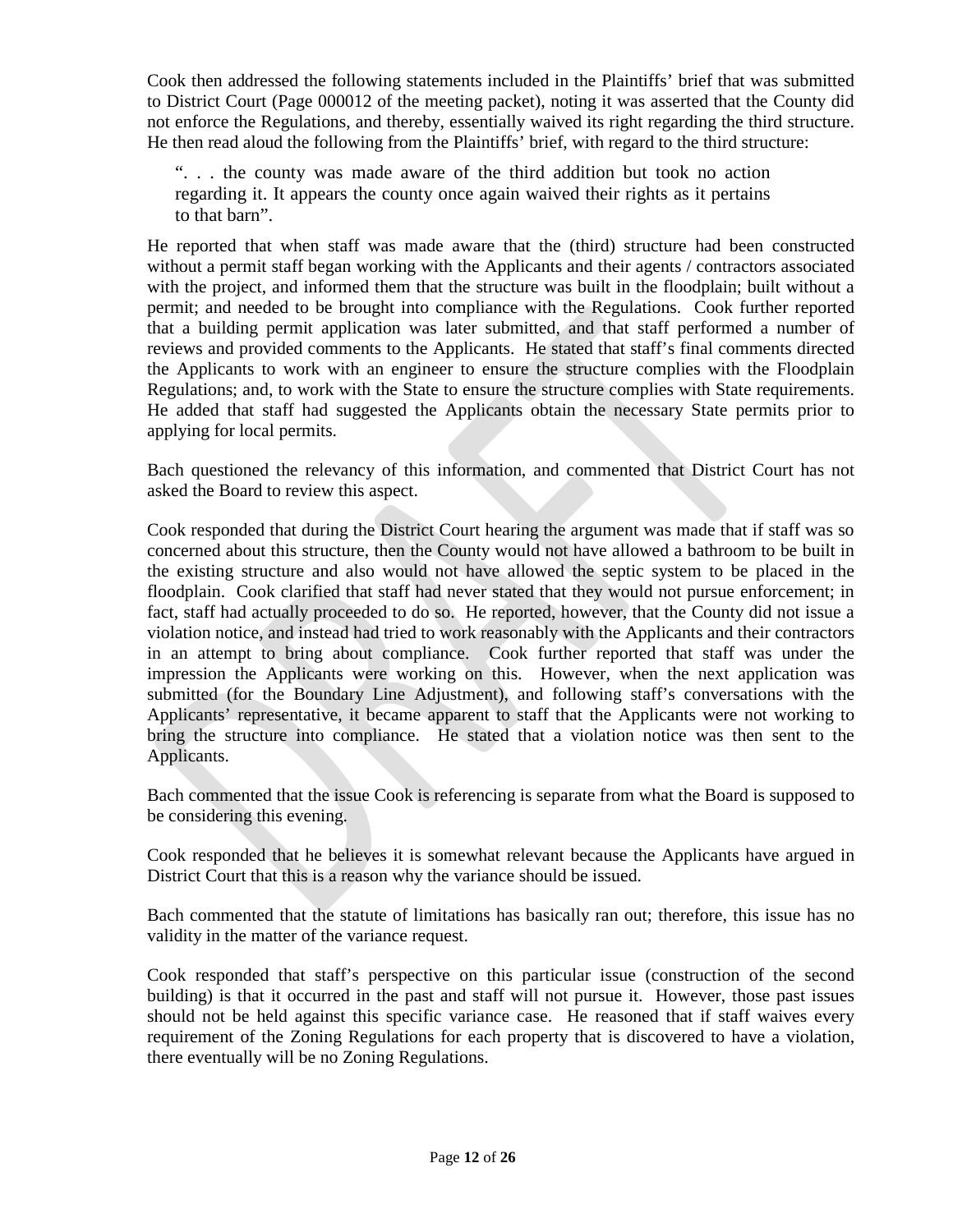Cook then addressed the following statements included in the Plaintiffs' brief that was submitted to District Court (Page 000012 of the meeting packet), noting it was asserted that the County did not enforce the Regulations, and thereby, essentially waived its right regarding the third structure. He then read aloud the following from the Plaintiffs' brief, with regard to the third structure:

". . . the county was made aware of the third addition but took no action regarding it. It appears the county once again waived their rights as it pertains to that barn".

He reported that when staff was made aware that the (third) structure had been constructed without a permit staff began working with the Applicants and their agents / contractors associated with the project, and informed them that the structure was built in the floodplain; built without a permit; and needed to be brought into compliance with the Regulations. Cook further reported that a building permit application was later submitted, and that staff performed a number of reviews and provided comments to the Applicants. He stated that staff's final comments directed the Applicants to work with an engineer to ensure the structure complies with the Floodplain Regulations; and, to work with the State to ensure the structure complies with State requirements. He added that staff had suggested the Applicants obtain the necessary State permits prior to applying for local permits.

Bach questioned the relevancy of this information, and commented that District Court has not asked the Board to review this aspect.

Cook responded that during the District Court hearing the argument was made that if staff was so concerned about this structure, then the County would not have allowed a bathroom to be built in the existing structure and also would not have allowed the septic system to be placed in the floodplain. Cook clarified that staff had never stated that they would not pursue enforcement; in fact, staff had actually proceeded to do so. He reported, however, that the County did not issue a violation notice, and instead had tried to work reasonably with the Applicants and their contractors in an attempt to bring about compliance. Cook further reported that staff was under the impression the Applicants were working on this. However, when the next application was submitted (for the Boundary Line Adjustment), and following staff's conversations with the Applicants' representative, it became apparent to staff that the Applicants were not working to bring the structure into compliance. He stated that a violation notice was then sent to the Applicants.

Bach commented that the issue Cook is referencing is separate from what the Board is supposed to be considering this evening.

Cook responded that he believes it is somewhat relevant because the Applicants have argued in District Court that this is a reason why the variance should be issued.

Bach commented that the statute of limitations has basically ran out; therefore, this issue has no validity in the matter of the variance request.

Cook responded that staff's perspective on this particular issue (construction of the second building) is that it occurred in the past and staff will not pursue it. However, those past issues should not be held against this specific variance case. He reasoned that if staff waives every requirement of the Zoning Regulations for each property that is discovered to have a violation, there eventually will be no Zoning Regulations.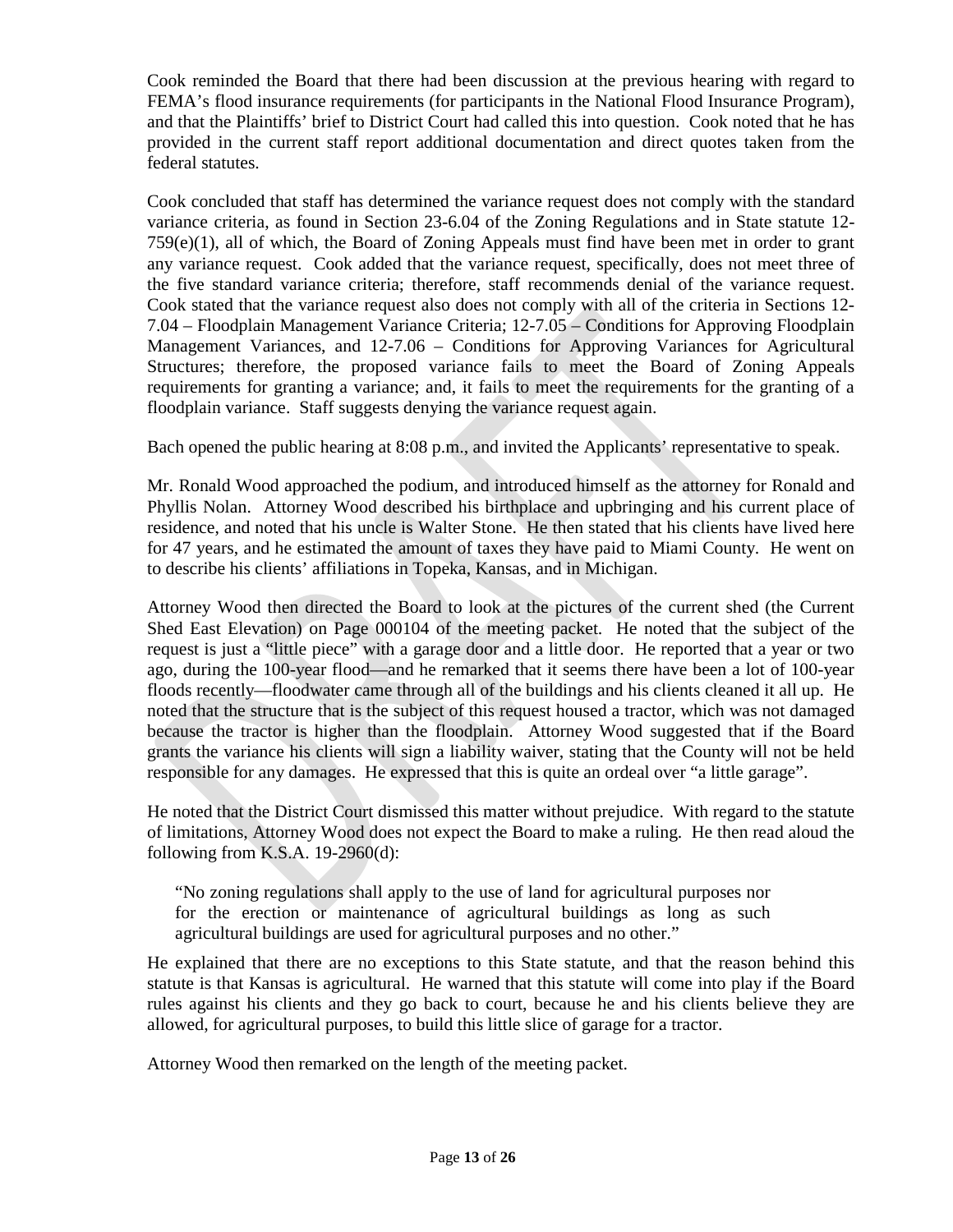Cook reminded the Board that there had been discussion at the previous hearing with regard to FEMA's flood insurance requirements (for participants in the National Flood Insurance Program), and that the Plaintiffs' brief to District Court had called this into question. Cook noted that he has provided in the current staff report additional documentation and direct quotes taken from the federal statutes.

Cook concluded that staff has determined the variance request does not comply with the standard variance criteria, as found in Section 23-6.04 of the Zoning Regulations and in State statute 12- 759(e)(1), all of which, the Board of Zoning Appeals must find have been met in order to grant any variance request. Cook added that the variance request, specifically, does not meet three of the five standard variance criteria; therefore, staff recommends denial of the variance request. Cook stated that the variance request also does not comply with all of the criteria in Sections 12- 7.04 – Floodplain Management Variance Criteria; 12-7.05 – Conditions for Approving Floodplain Management Variances, and 12-7.06 – Conditions for Approving Variances for Agricultural Structures; therefore, the proposed variance fails to meet the Board of Zoning Appeals requirements for granting a variance; and, it fails to meet the requirements for the granting of a floodplain variance. Staff suggests denying the variance request again.

Bach opened the public hearing at 8:08 p.m., and invited the Applicants' representative to speak.

Mr. Ronald Wood approached the podium, and introduced himself as the attorney for Ronald and Phyllis Nolan. Attorney Wood described his birthplace and upbringing and his current place of residence, and noted that his uncle is Walter Stone. He then stated that his clients have lived here for 47 years, and he estimated the amount of taxes they have paid to Miami County. He went on to describe his clients' affiliations in Topeka, Kansas, and in Michigan.

Attorney Wood then directed the Board to look at the pictures of the current shed (the Current Shed East Elevation) on Page 000104 of the meeting packet. He noted that the subject of the request is just a "little piece" with a garage door and a little door. He reported that a year or two ago, during the 100-year flood—and he remarked that it seems there have been a lot of 100-year floods recently—floodwater came through all of the buildings and his clients cleaned it all up. He noted that the structure that is the subject of this request housed a tractor, which was not damaged because the tractor is higher than the floodplain. Attorney Wood suggested that if the Board grants the variance his clients will sign a liability waiver, stating that the County will not be held responsible for any damages. He expressed that this is quite an ordeal over "a little garage".

He noted that the District Court dismissed this matter without prejudice. With regard to the statute of limitations, Attorney Wood does not expect the Board to make a ruling. He then read aloud the following from K.S.A. 19-2960(d):

"No zoning regulations shall apply to the use of land for agricultural purposes nor for the erection or maintenance of agricultural buildings as long as such agricultural buildings are used for agricultural purposes and no other."

He explained that there are no exceptions to this State statute, and that the reason behind this statute is that Kansas is agricultural. He warned that this statute will come into play if the Board rules against his clients and they go back to court, because he and his clients believe they are allowed, for agricultural purposes, to build this little slice of garage for a tractor.

Attorney Wood then remarked on the length of the meeting packet.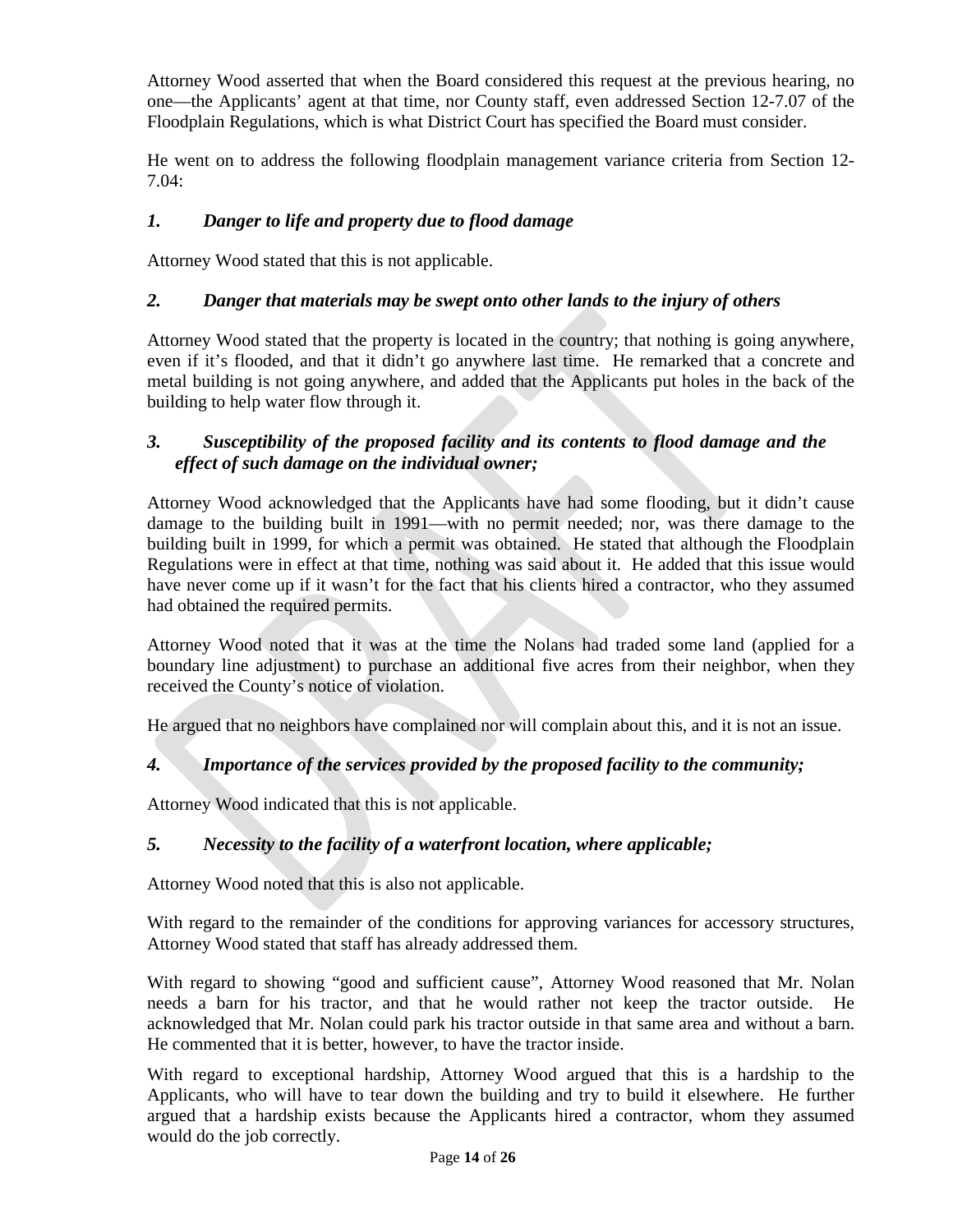Attorney Wood asserted that when the Board considered this request at the previous hearing, no one—the Applicants' agent at that time, nor County staff, even addressed Section 12-7.07 of the Floodplain Regulations, which is what District Court has specified the Board must consider.

He went on to address the following floodplain management variance criteria from Section 12- 7.04:

# *1. Danger to life and property due to flood damage*

Attorney Wood stated that this is not applicable.

### *2. Danger that materials may be swept onto other lands to the injury of others*

Attorney Wood stated that the property is located in the country; that nothing is going anywhere, even if it's flooded, and that it didn't go anywhere last time. He remarked that a concrete and metal building is not going anywhere, and added that the Applicants put holes in the back of the building to help water flow through it.

### *3. Susceptibility of the proposed facility and its contents to flood damage and the effect of such damage on the individual owner;*

Attorney Wood acknowledged that the Applicants have had some flooding, but it didn't cause damage to the building built in 1991—with no permit needed; nor, was there damage to the building built in 1999, for which a permit was obtained. He stated that although the Floodplain Regulations were in effect at that time, nothing was said about it. He added that this issue would have never come up if it wasn't for the fact that his clients hired a contractor, who they assumed had obtained the required permits.

Attorney Wood noted that it was at the time the Nolans had traded some land (applied for a boundary line adjustment) to purchase an additional five acres from their neighbor, when they received the County's notice of violation.

He argued that no neighbors have complained nor will complain about this, and it is not an issue.

# *4. Importance of the services provided by the proposed facility to the community;*

Attorney Wood indicated that this is not applicable.

# *5. Necessity to the facility of a waterfront location, where applicable;*

Attorney Wood noted that this is also not applicable.

With regard to the remainder of the conditions for approving variances for accessory structures, Attorney Wood stated that staff has already addressed them.

With regard to showing "good and sufficient cause", Attorney Wood reasoned that Mr. Nolan needs a barn for his tractor, and that he would rather not keep the tractor outside. He acknowledged that Mr. Nolan could park his tractor outside in that same area and without a barn. He commented that it is better, however, to have the tractor inside.

With regard to exceptional hardship, Attorney Wood argued that this is a hardship to the Applicants, who will have to tear down the building and try to build it elsewhere. He further argued that a hardship exists because the Applicants hired a contractor, whom they assumed would do the job correctly.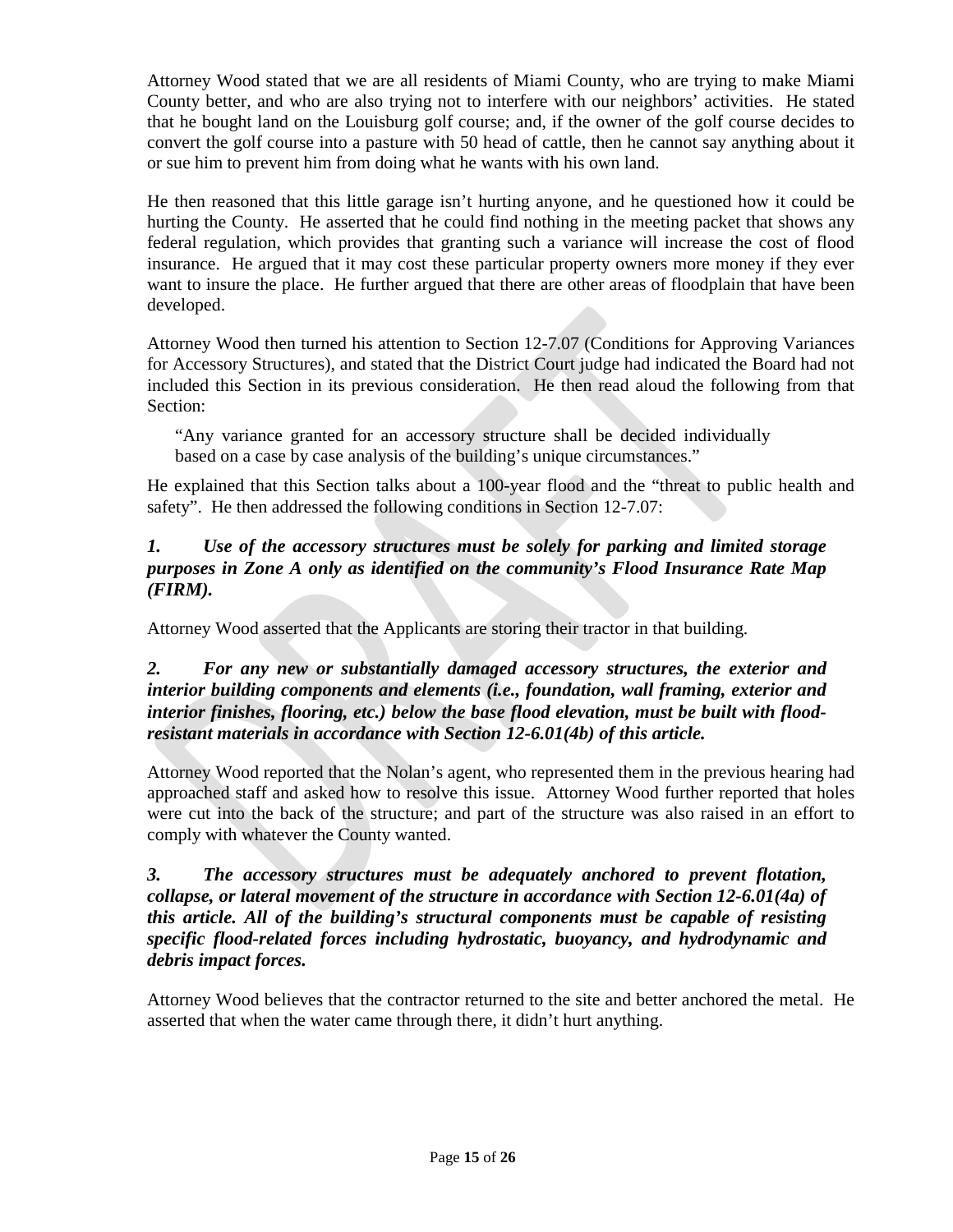Attorney Wood stated that we are all residents of Miami County, who are trying to make Miami County better, and who are also trying not to interfere with our neighbors' activities. He stated that he bought land on the Louisburg golf course; and, if the owner of the golf course decides to convert the golf course into a pasture with 50 head of cattle, then he cannot say anything about it or sue him to prevent him from doing what he wants with his own land.

He then reasoned that this little garage isn't hurting anyone, and he questioned how it could be hurting the County. He asserted that he could find nothing in the meeting packet that shows any federal regulation, which provides that granting such a variance will increase the cost of flood insurance. He argued that it may cost these particular property owners more money if they ever want to insure the place. He further argued that there are other areas of floodplain that have been developed.

Attorney Wood then turned his attention to Section 12-7.07 (Conditions for Approving Variances for Accessory Structures), and stated that the District Court judge had indicated the Board had not included this Section in its previous consideration. He then read aloud the following from that Section:

"Any variance granted for an accessory structure shall be decided individually based on a case by case analysis of the building's unique circumstances."

He explained that this Section talks about a 100-year flood and the "threat to public health and safety". He then addressed the following conditions in Section 12-7.07:

# *1. Use of the accessory structures must be solely for parking and limited storage purposes in Zone A only as identified on the community's Flood Insurance Rate Map (FIRM).*

Attorney Wood asserted that the Applicants are storing their tractor in that building.

### *2. For any new or substantially damaged accessory structures, the exterior and interior building components and elements (i.e., foundation, wall framing, exterior and interior finishes, flooring, etc.) below the base flood elevation, must be built with floodresistant materials in accordance with Section [12-6.01\(](https://www.codepublishing.com/KS/MiamiCounty/#!/MiamiCountyZR/MiamiCountyZR12.html#12-6.01)4b) of this article.*

Attorney Wood reported that the Nolan's agent, who represented them in the previous hearing had approached staff and asked how to resolve this issue. Attorney Wood further reported that holes were cut into the back of the structure; and part of the structure was also raised in an effort to comply with whatever the County wanted.

### *3. The accessory structures must be adequately anchored to prevent flotation, collapse, or lateral movement of the structure in accordance with Section [12-6.01\(](https://www.codepublishing.com/KS/MiamiCounty/#!/MiamiCountyZR/MiamiCountyZR12.html#12-6.01)4a) of this article. All of the building's structural components must be capable of resisting specific flood-related forces including hydrostatic, buoyancy, and hydrodynamic and debris impact forces.*

Attorney Wood believes that the contractor returned to the site and better anchored the metal. He asserted that when the water came through there, it didn't hurt anything.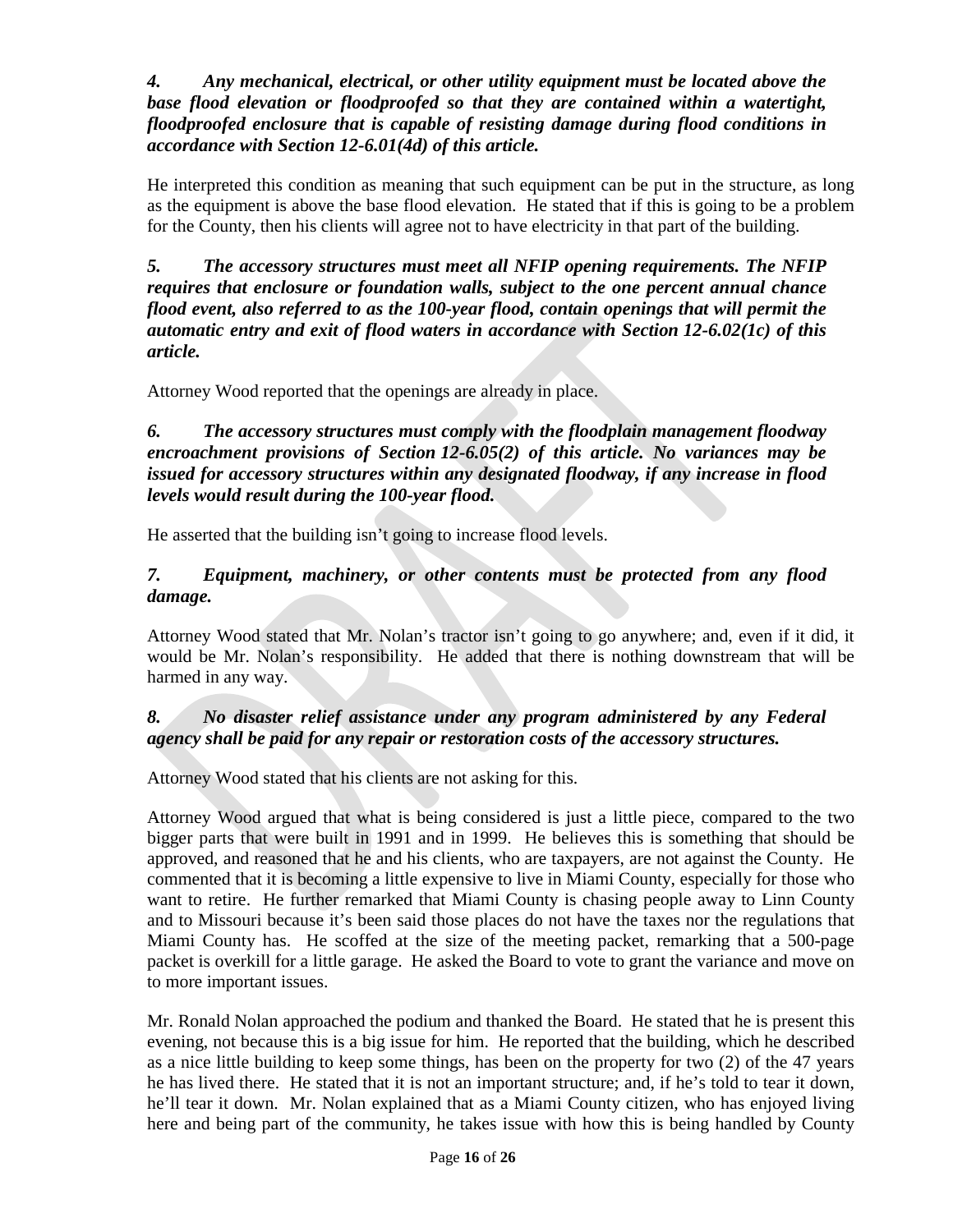*4. Any mechanical, electrical, or other utility equipment must be located above the*  base flood elevation or floodproofed so that they are contained within a watertight, *floodproofed enclosure that is capable of resisting damage during flood conditions in accordance with Section [12-6.01\(](https://www.codepublishing.com/KS/MiamiCounty/#!/MiamiCountyZR/MiamiCountyZR12.html#12-6.01)4d) of this article.*

He interpreted this condition as meaning that such equipment can be put in the structure, as long as the equipment is above the base flood elevation. He stated that if this is going to be a problem for the County, then his clients will agree not to have electricity in that part of the building.

*5. The accessory structures must meet all NFIP opening requirements. The NFIP requires that enclosure or foundation walls, subject to the one percent annual chance flood event, also referred to as the 100-year flood, contain openings that will permit the automatic entry and exit of flood waters in accordance with Section [12-6.02\(](https://www.codepublishing.com/KS/MiamiCounty/#!/MiamiCountyZR/MiamiCountyZR12.html#12-6.02)1c) of this article.*

Attorney Wood reported that the openings are already in place.

*6. The accessory structures must comply with the floodplain management floodway encroachment provisions of Section [12-6.05\(](https://www.codepublishing.com/KS/MiamiCounty/#!/MiamiCountyZR/MiamiCountyZR12.html#12-6.05)2) of this article. No variances may be issued for accessory structures within any designated floodway, if any increase in flood levels would result during the 100-year flood.*

He asserted that the building isn't going to increase flood levels.

# *7. Equipment, machinery, or other contents must be protected from any flood damage.*

Attorney Wood stated that Mr. Nolan's tractor isn't going to go anywhere; and, even if it did, it would be Mr. Nolan's responsibility. He added that there is nothing downstream that will be harmed in any way.

# *8. No disaster relief assistance under any program administered by any Federal agency shall be paid for any repair or restoration costs of the accessory structures.*

Attorney Wood stated that his clients are not asking for this.

Attorney Wood argued that what is being considered is just a little piece, compared to the two bigger parts that were built in 1991 and in 1999. He believes this is something that should be approved, and reasoned that he and his clients, who are taxpayers, are not against the County. He commented that it is becoming a little expensive to live in Miami County, especially for those who want to retire. He further remarked that Miami County is chasing people away to Linn County and to Missouri because it's been said those places do not have the taxes nor the regulations that Miami County has. He scoffed at the size of the meeting packet, remarking that a 500-page packet is overkill for a little garage. He asked the Board to vote to grant the variance and move on to more important issues.

Mr. Ronald Nolan approached the podium and thanked the Board. He stated that he is present this evening, not because this is a big issue for him. He reported that the building, which he described as a nice little building to keep some things, has been on the property for two (2) of the 47 years he has lived there. He stated that it is not an important structure; and, if he's told to tear it down, he'll tear it down. Mr. Nolan explained that as a Miami County citizen, who has enjoyed living here and being part of the community, he takes issue with how this is being handled by County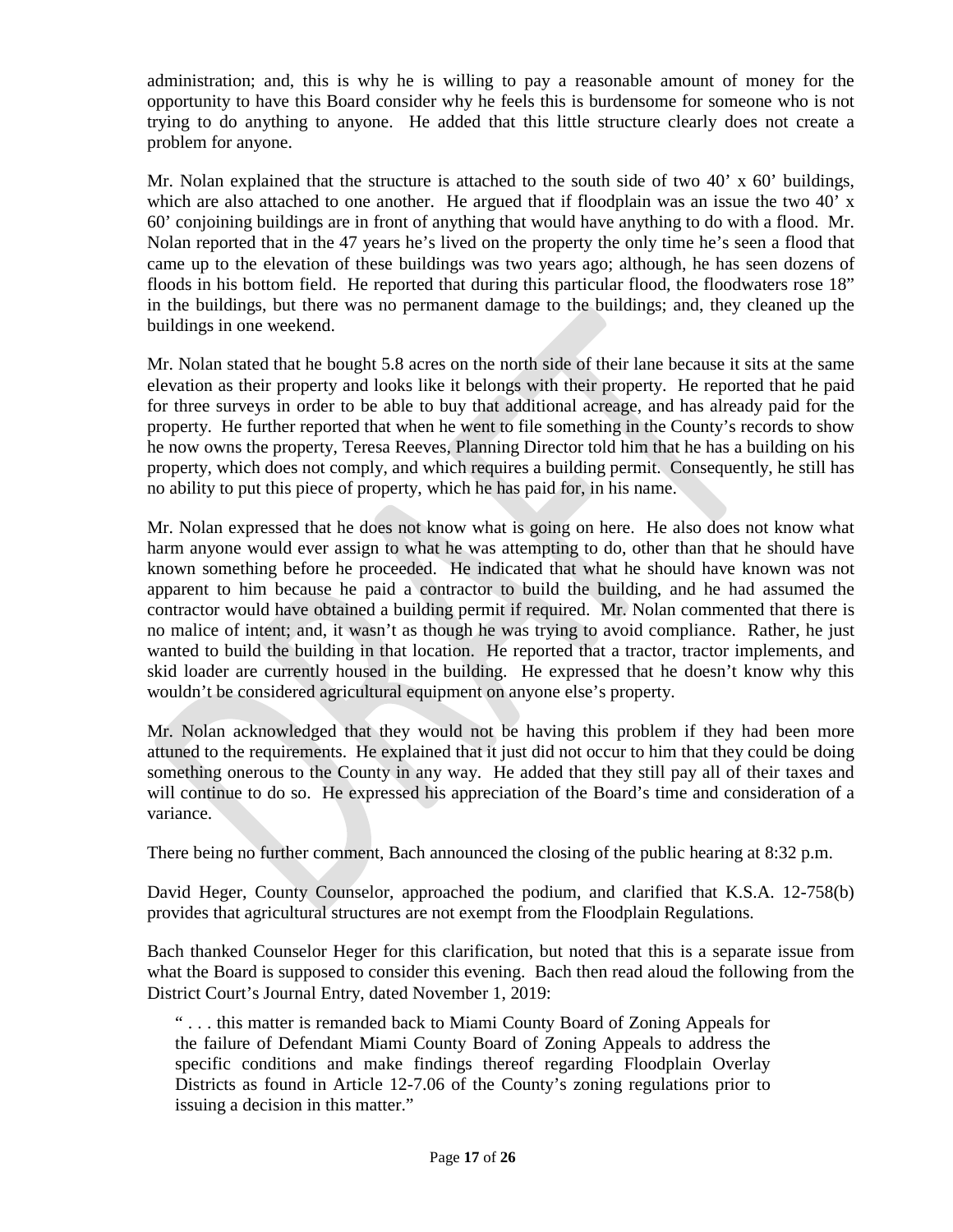administration; and, this is why he is willing to pay a reasonable amount of money for the opportunity to have this Board consider why he feels this is burdensome for someone who is not trying to do anything to anyone. He added that this little structure clearly does not create a problem for anyone.

Mr. Nolan explained that the structure is attached to the south side of two  $40' \times 60'$  buildings, which are also attached to one another. He argued that if floodplain was an issue the two 40' x 60' conjoining buildings are in front of anything that would have anything to do with a flood. Mr. Nolan reported that in the 47 years he's lived on the property the only time he's seen a flood that came up to the elevation of these buildings was two years ago; although, he has seen dozens of floods in his bottom field. He reported that during this particular flood, the floodwaters rose 18" in the buildings, but there was no permanent damage to the buildings; and, they cleaned up the buildings in one weekend.

Mr. Nolan stated that he bought 5.8 acres on the north side of their lane because it sits at the same elevation as their property and looks like it belongs with their property. He reported that he paid for three surveys in order to be able to buy that additional acreage, and has already paid for the property. He further reported that when he went to file something in the County's records to show he now owns the property, Teresa Reeves, Planning Director told him that he has a building on his property, which does not comply, and which requires a building permit. Consequently, he still has no ability to put this piece of property, which he has paid for, in his name.

Mr. Nolan expressed that he does not know what is going on here. He also does not know what harm anyone would ever assign to what he was attempting to do, other than that he should have known something before he proceeded. He indicated that what he should have known was not apparent to him because he paid a contractor to build the building, and he had assumed the contractor would have obtained a building permit if required. Mr. Nolan commented that there is no malice of intent; and, it wasn't as though he was trying to avoid compliance. Rather, he just wanted to build the building in that location. He reported that a tractor, tractor implements, and skid loader are currently housed in the building. He expressed that he doesn't know why this wouldn't be considered agricultural equipment on anyone else's property.

Mr. Nolan acknowledged that they would not be having this problem if they had been more attuned to the requirements. He explained that it just did not occur to him that they could be doing something onerous to the County in any way. He added that they still pay all of their taxes and will continue to do so. He expressed his appreciation of the Board's time and consideration of a variance.

There being no further comment, Bach announced the closing of the public hearing at 8:32 p.m.

David Heger, County Counselor, approached the podium, and clarified that K.S.A. 12-758(b) provides that agricultural structures are not exempt from the Floodplain Regulations.

Bach thanked Counselor Heger for this clarification, but noted that this is a separate issue from what the Board is supposed to consider this evening. Bach then read aloud the following from the District Court's Journal Entry, dated November 1, 2019:

" . . . this matter is remanded back to Miami County Board of Zoning Appeals for the failure of Defendant Miami County Board of Zoning Appeals to address the specific conditions and make findings thereof regarding Floodplain Overlay Districts as found in Article 12-7.06 of the County's zoning regulations prior to issuing a decision in this matter."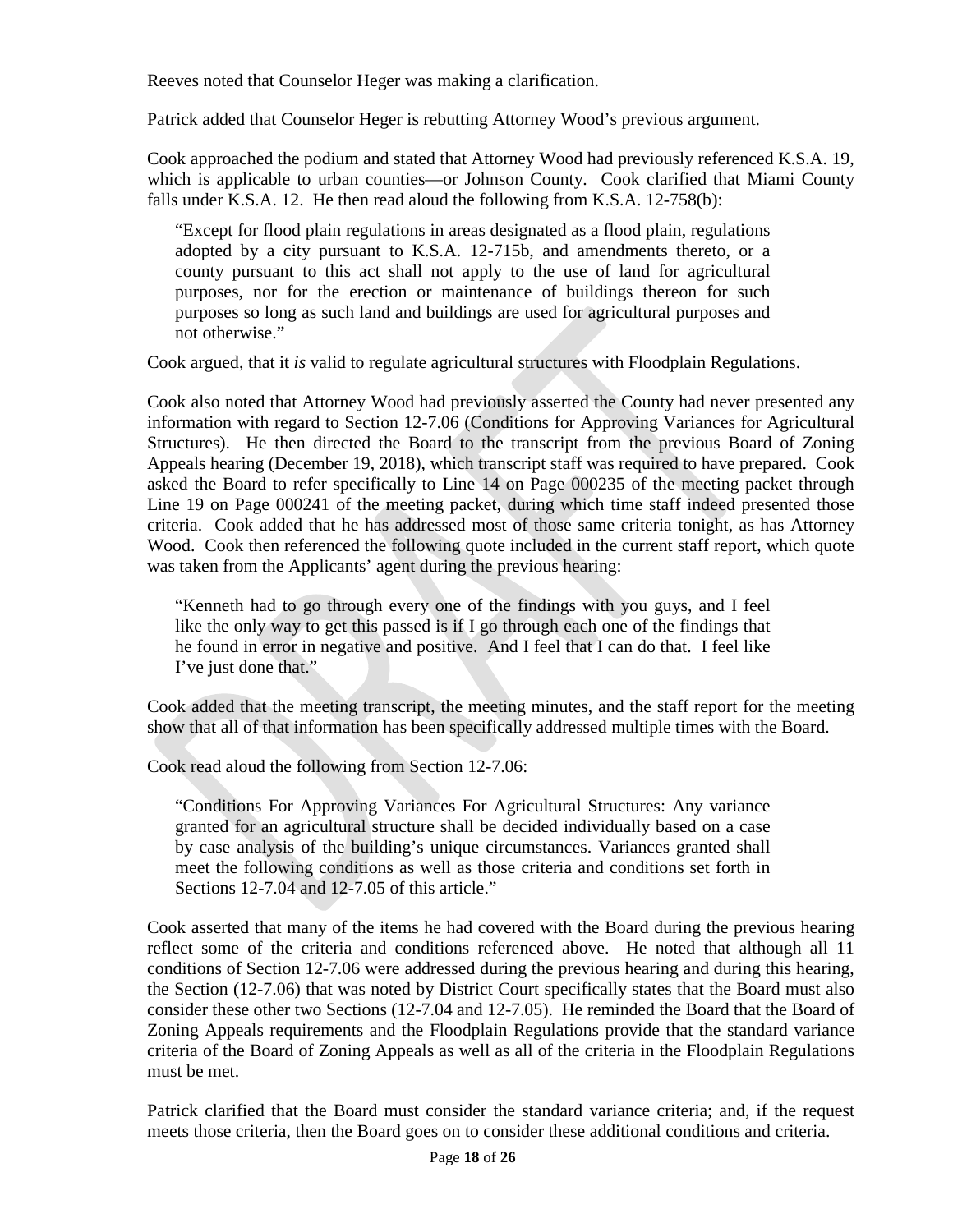Reeves noted that Counselor Heger was making a clarification.

Patrick added that Counselor Heger is rebutting Attorney Wood's previous argument.

Cook approached the podium and stated that Attorney Wood had previously referenced K.S.A. 19, which is applicable to urban counties—or Johnson County. Cook clarified that Miami County falls under K.S.A. 12. He then read aloud the following from K.S.A. 12-758(b):

"Except for flood plain regulations in areas designated as a flood plain, regulations adopted by a city pursuant to K.S.A. 12-715b, and amendments thereto, or a county pursuant to this act shall not apply to the use of land for agricultural purposes, nor for the erection or maintenance of buildings thereon for such purposes so long as such land and buildings are used for agricultural purposes and not otherwise."

Cook argued, that it *is* valid to regulate agricultural structures with Floodplain Regulations.

Cook also noted that Attorney Wood had previously asserted the County had never presented any information with regard to Section 12-7.06 (Conditions for Approving Variances for Agricultural Structures). He then directed the Board to the transcript from the previous Board of Zoning Appeals hearing (December 19, 2018), which transcript staff was required to have prepared. Cook asked the Board to refer specifically to Line 14 on Page 000235 of the meeting packet through Line 19 on Page 000241 of the meeting packet, during which time staff indeed presented those criteria. Cook added that he has addressed most of those same criteria tonight, as has Attorney Wood. Cook then referenced the following quote included in the current staff report, which quote was taken from the Applicants' agent during the previous hearing:

"Kenneth had to go through every one of the findings with you guys, and I feel like the only way to get this passed is if I go through each one of the findings that he found in error in negative and positive. And I feel that I can do that. I feel like I've just done that."

Cook added that the meeting transcript, the meeting minutes, and the staff report for the meeting show that all of that information has been specifically addressed multiple times with the Board.

Cook read aloud the following from Section 12-7.06:

"Conditions For Approving Variances For Agricultural Structures: Any variance granted for an agricultural structure shall be decided individually based on a case by case analysis of the building's unique circumstances. Variances granted shall meet the following conditions as well as those criteria and conditions set forth in Sections 12-7.04 and 12-7.05 of this article."

Cook asserted that many of the items he had covered with the Board during the previous hearing reflect some of the criteria and conditions referenced above.He noted that although all 11 conditions of Section 12-7.06 were addressed during the previous hearing and during this hearing, the Section (12-7.06) that was noted by District Court specifically states that the Board must also consider these other two Sections (12-7.04 and 12-7.05). He reminded the Board that the Board of Zoning Appeals requirements and the Floodplain Regulations provide that the standard variance criteria of the Board of Zoning Appeals as well as all of the criteria in the Floodplain Regulations must be met.

Patrick clarified that the Board must consider the standard variance criteria; and, if the request meets those criteria, then the Board goes on to consider these additional conditions and criteria.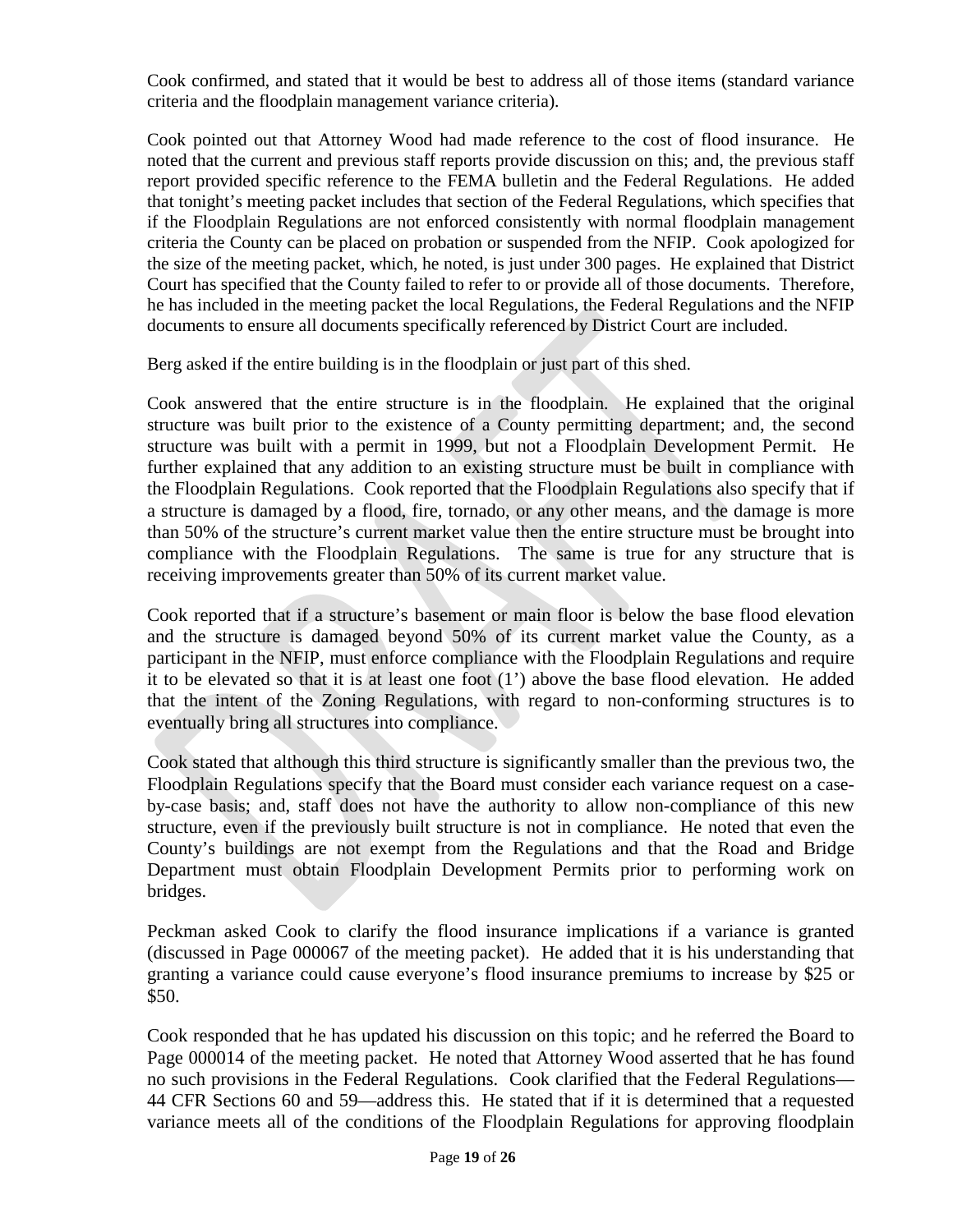Cook confirmed, and stated that it would be best to address all of those items (standard variance criteria and the floodplain management variance criteria).

Cook pointed out that Attorney Wood had made reference to the cost of flood insurance. He noted that the current and previous staff reports provide discussion on this; and, the previous staff report provided specific reference to the FEMA bulletin and the Federal Regulations. He added that tonight's meeting packet includes that section of the Federal Regulations, which specifies that if the Floodplain Regulations are not enforced consistently with normal floodplain management criteria the County can be placed on probation or suspended from the NFIP. Cook apologized for the size of the meeting packet, which, he noted, is just under 300 pages. He explained that District Court has specified that the County failed to refer to or provide all of those documents. Therefore, he has included in the meeting packet the local Regulations, the Federal Regulations and the NFIP documents to ensure all documents specifically referenced by District Court are included.

Berg asked if the entire building is in the floodplain or just part of this shed.

Cook answered that the entire structure is in the floodplain. He explained that the original structure was built prior to the existence of a County permitting department; and, the second structure was built with a permit in 1999, but not a Floodplain Development Permit. He further explained that any addition to an existing structure must be built in compliance with the Floodplain Regulations. Cook reported that the Floodplain Regulations also specify that if a structure is damaged by a flood, fire, tornado, or any other means, and the damage is more than 50% of the structure's current market value then the entire structure must be brought into compliance with the Floodplain Regulations. The same is true for any structure that is receiving improvements greater than 50% of its current market value.

Cook reported that if a structure's basement or main floor is below the base flood elevation and the structure is damaged beyond 50% of its current market value the County, as a participant in the NFIP, must enforce compliance with the Floodplain Regulations and require it to be elevated so that it is at least one foot (1') above the base flood elevation. He added that the intent of the Zoning Regulations, with regard to non-conforming structures is to eventually bring all structures into compliance.

Cook stated that although this third structure is significantly smaller than the previous two, the Floodplain Regulations specify that the Board must consider each variance request on a caseby-case basis; and, staff does not have the authority to allow non-compliance of this new structure, even if the previously built structure is not in compliance. He noted that even the County's buildings are not exempt from the Regulations and that the Road and Bridge Department must obtain Floodplain Development Permits prior to performing work on bridges.

Peckman asked Cook to clarify the flood insurance implications if a variance is granted (discussed in Page 000067 of the meeting packet). He added that it is his understanding that granting a variance could cause everyone's flood insurance premiums to increase by \$25 or \$50.

Cook responded that he has updated his discussion on this topic; and he referred the Board to Page 000014 of the meeting packet. He noted that Attorney Wood asserted that he has found no such provisions in the Federal Regulations. Cook clarified that the Federal Regulations— 44 CFR Sections 60 and 59—address this. He stated that if it is determined that a requested variance meets all of the conditions of the Floodplain Regulations for approving floodplain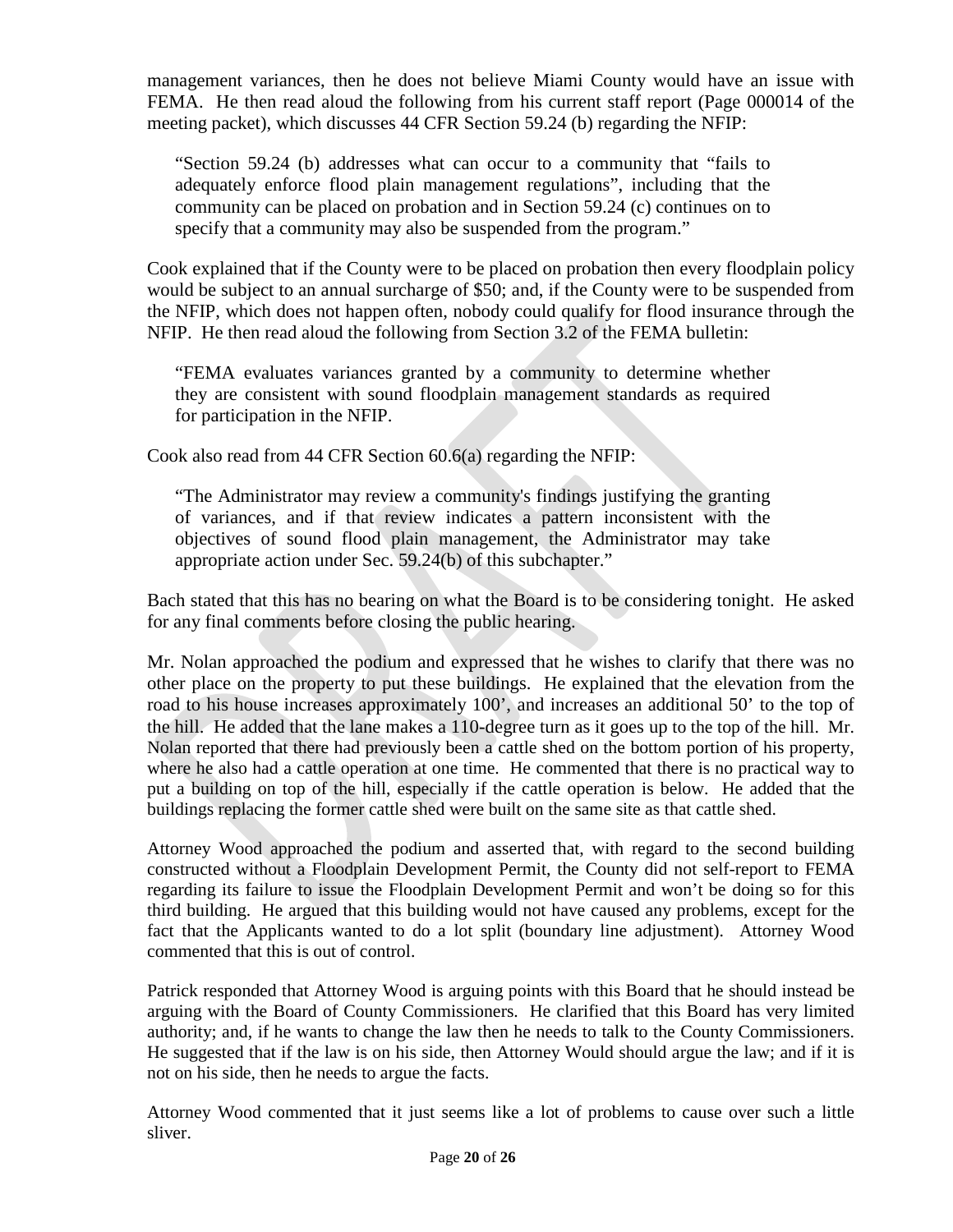management variances, then he does not believe Miami County would have an issue with FEMA. He then read aloud the following from his current staff report (Page 000014 of the meeting packet), which discusses 44 CFR Section 59.24 (b) regarding the NFIP:

"Section 59.24 (b) addresses what can occur to a community that "fails to adequately enforce flood plain management regulations", including that the community can be placed on probation and in Section 59.24 (c) continues on to specify that a community may also be suspended from the program."

Cook explained that if the County were to be placed on probation then every floodplain policy would be subject to an annual surcharge of \$50; and, if the County were to be suspended from the NFIP, which does not happen often, nobody could qualify for flood insurance through the NFIP. He then read aloud the following from Section 3.2 of the FEMA bulletin:

"FEMA evaluates variances granted by a community to determine whether they are consistent with sound floodplain management standards as required for participation in the NFIP.

Cook also read from 44 CFR Section 60.6(a) regarding the NFIP:

"The Administrator may review a community's findings justifying the granting of variances, and if that review indicates a pattern inconsistent with the objectives of sound flood plain management, the Administrator may take appropriate action under Sec. 59.24(b) of this subchapter."

Bach stated that this has no bearing on what the Board is to be considering tonight. He asked for any final comments before closing the public hearing.

Mr. Nolan approached the podium and expressed that he wishes to clarify that there was no other place on the property to put these buildings. He explained that the elevation from the road to his house increases approximately 100', and increases an additional 50' to the top of the hill. He added that the lane makes a 110-degree turn as it goes up to the top of the hill. Mr. Nolan reported that there had previously been a cattle shed on the bottom portion of his property, where he also had a cattle operation at one time. He commented that there is no practical way to put a building on top of the hill, especially if the cattle operation is below. He added that the buildings replacing the former cattle shed were built on the same site as that cattle shed.

Attorney Wood approached the podium and asserted that, with regard to the second building constructed without a Floodplain Development Permit, the County did not self-report to FEMA regarding its failure to issue the Floodplain Development Permit and won't be doing so for this third building. He argued that this building would not have caused any problems, except for the fact that the Applicants wanted to do a lot split (boundary line adjustment). Attorney Wood commented that this is out of control.

Patrick responded that Attorney Wood is arguing points with this Board that he should instead be arguing with the Board of County Commissioners. He clarified that this Board has very limited authority; and, if he wants to change the law then he needs to talk to the County Commissioners. He suggested that if the law is on his side, then Attorney Would should argue the law; and if it is not on his side, then he needs to argue the facts.

Attorney Wood commented that it just seems like a lot of problems to cause over such a little sliver.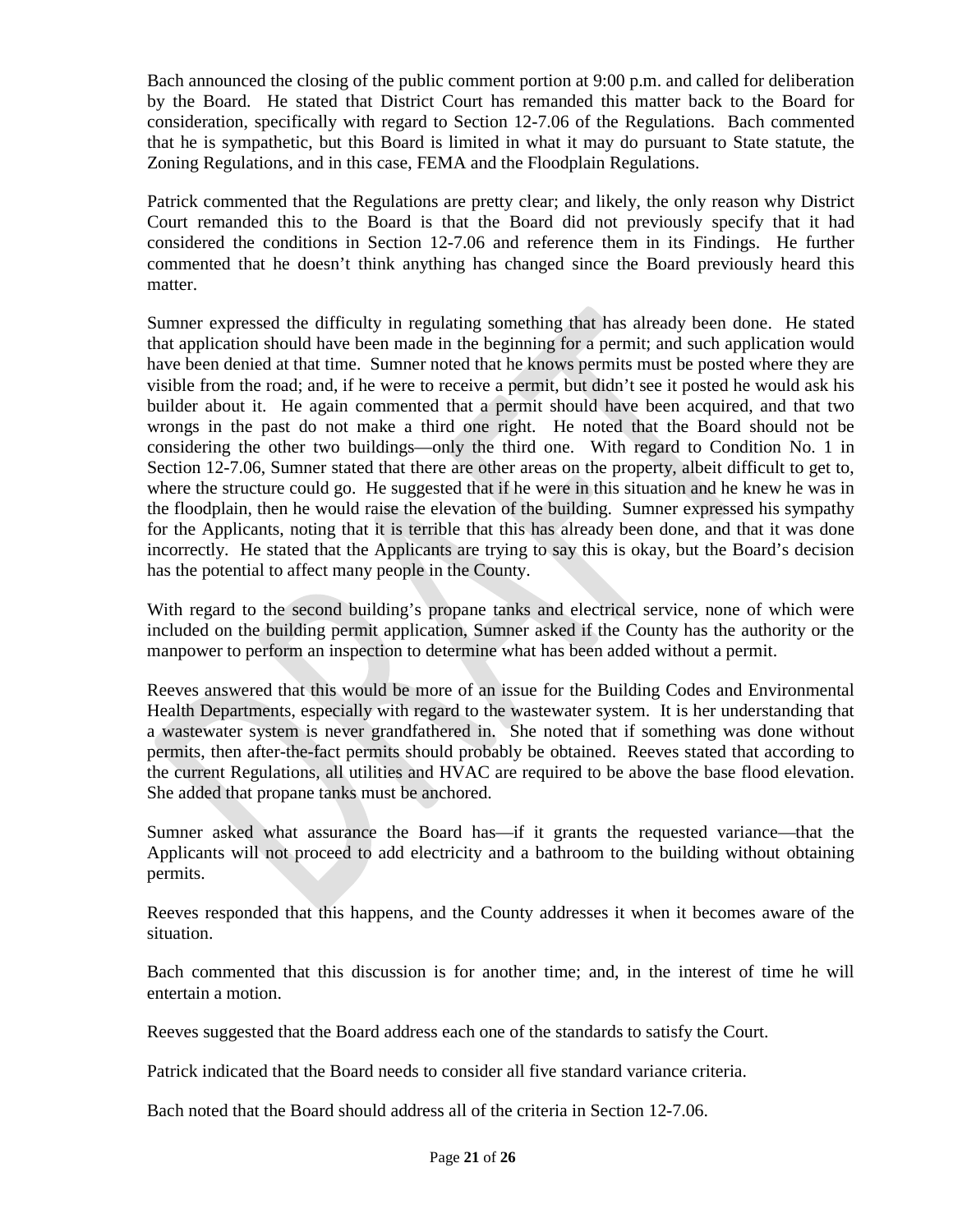Bach announced the closing of the public comment portion at 9:00 p.m. and called for deliberation by the Board. He stated that District Court has remanded this matter back to the Board for consideration, specifically with regard to Section 12-7.06 of the Regulations. Bach commented that he is sympathetic, but this Board is limited in what it may do pursuant to State statute, the Zoning Regulations, and in this case, FEMA and the Floodplain Regulations.

Patrick commented that the Regulations are pretty clear; and likely, the only reason why District Court remanded this to the Board is that the Board did not previously specify that it had considered the conditions in Section 12-7.06 and reference them in its Findings. He further commented that he doesn't think anything has changed since the Board previously heard this matter.

Sumner expressed the difficulty in regulating something that has already been done. He stated that application should have been made in the beginning for a permit; and such application would have been denied at that time. Sumner noted that he knows permits must be posted where they are visible from the road; and, if he were to receive a permit, but didn't see it posted he would ask his builder about it. He again commented that a permit should have been acquired, and that two wrongs in the past do not make a third one right. He noted that the Board should not be considering the other two buildings—only the third one. With regard to Condition No. 1 in Section 12-7.06, Sumner stated that there are other areas on the property, albeit difficult to get to, where the structure could go. He suggested that if he were in this situation and he knew he was in the floodplain, then he would raise the elevation of the building. Sumner expressed his sympathy for the Applicants, noting that it is terrible that this has already been done, and that it was done incorrectly. He stated that the Applicants are trying to say this is okay, but the Board's decision has the potential to affect many people in the County.

With regard to the second building's propane tanks and electrical service, none of which were included on the building permit application, Sumner asked if the County has the authority or the manpower to perform an inspection to determine what has been added without a permit.

Reeves answered that this would be more of an issue for the Building Codes and Environmental Health Departments, especially with regard to the wastewater system. It is her understanding that a wastewater system is never grandfathered in. She noted that if something was done without permits, then after-the-fact permits should probably be obtained. Reeves stated that according to the current Regulations, all utilities and HVAC are required to be above the base flood elevation. She added that propane tanks must be anchored.

Sumner asked what assurance the Board has—if it grants the requested variance—that the Applicants will not proceed to add electricity and a bathroom to the building without obtaining permits.

Reeves responded that this happens, and the County addresses it when it becomes aware of the situation.

Bach commented that this discussion is for another time; and, in the interest of time he will entertain a motion.

Reeves suggested that the Board address each one of the standards to satisfy the Court.

Patrick indicated that the Board needs to consider all five standard variance criteria.

Bach noted that the Board should address all of the criteria in Section 12-7.06.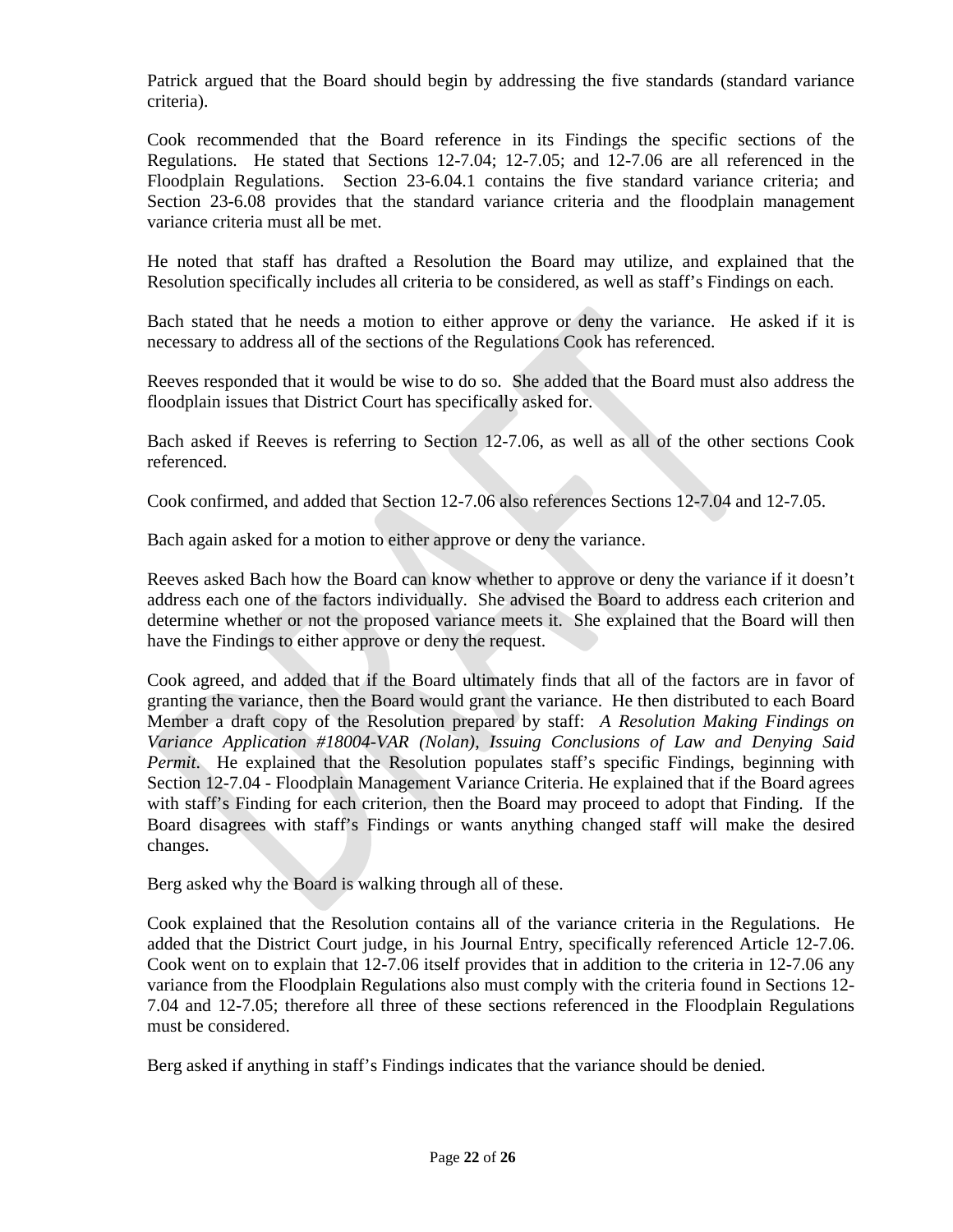Patrick argued that the Board should begin by addressing the five standards (standard variance criteria).

Cook recommended that the Board reference in its Findings the specific sections of the Regulations. He stated that Sections 12-7.04; 12-7.05; and 12-7.06 are all referenced in the Floodplain Regulations. Section 23-6.04.1 contains the five standard variance criteria; and Section 23-6.08 provides that the standard variance criteria and the floodplain management variance criteria must all be met.

He noted that staff has drafted a Resolution the Board may utilize, and explained that the Resolution specifically includes all criteria to be considered, as well as staff's Findings on each.

Bach stated that he needs a motion to either approve or deny the variance. He asked if it is necessary to address all of the sections of the Regulations Cook has referenced.

Reeves responded that it would be wise to do so. She added that the Board must also address the floodplain issues that District Court has specifically asked for.

Bach asked if Reeves is referring to Section 12-7.06, as well as all of the other sections Cook referenced.

Cook confirmed, and added that Section 12-7.06 also references Sections 12-7.04 and 12-7.05.

Bach again asked for a motion to either approve or deny the variance.

Reeves asked Bach how the Board can know whether to approve or deny the variance if it doesn't address each one of the factors individually. She advised the Board to address each criterion and determine whether or not the proposed variance meets it. She explained that the Board will then have the Findings to either approve or deny the request.

Cook agreed, and added that if the Board ultimately finds that all of the factors are in favor of granting the variance, then the Board would grant the variance. He then distributed to each Board Member a draft copy of the Resolution prepared by staff: *A Resolution Making Findings on Variance Application #18004-VAR (Nolan), Issuing Conclusions of Law and Denying Said Permit*. He explained that the Resolution populates staff's specific Findings, beginning with Section 12-7.04 - Floodplain Management Variance Criteria. He explained that if the Board agrees with staff's Finding for each criterion, then the Board may proceed to adopt that Finding. If the Board disagrees with staff's Findings or wants anything changed staff will make the desired changes.

Berg asked why the Board is walking through all of these.

Cook explained that the Resolution contains all of the variance criteria in the Regulations. He added that the District Court judge, in his Journal Entry, specifically referenced Article 12-7.06. Cook went on to explain that 12-7.06 itself provides that in addition to the criteria in 12-7.06 any variance from the Floodplain Regulations also must comply with the criteria found in Sections 12- 7.04 and 12-7.05; therefore all three of these sections referenced in the Floodplain Regulations must be considered.

Berg asked if anything in staff's Findings indicates that the variance should be denied.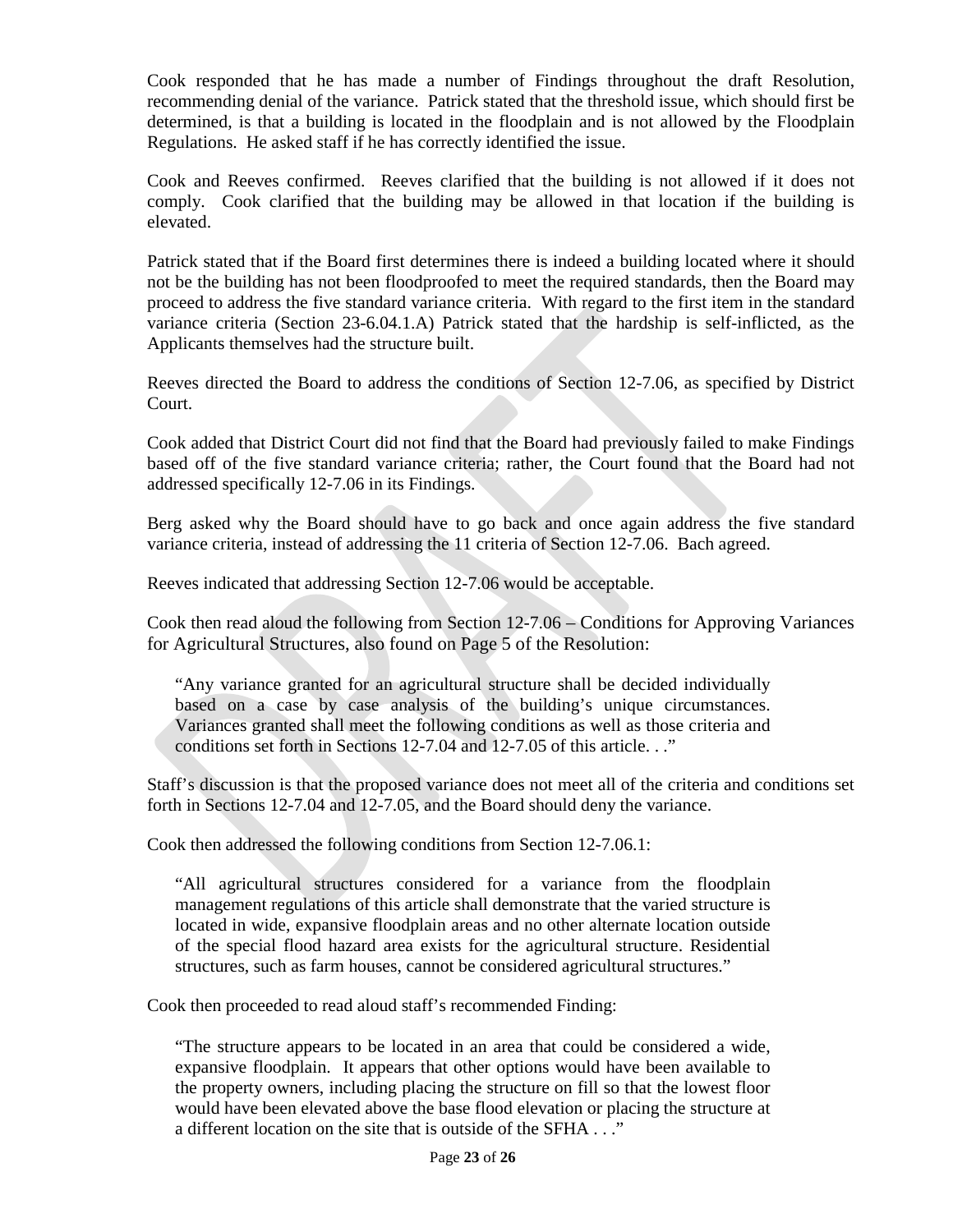Cook responded that he has made a number of Findings throughout the draft Resolution, recommending denial of the variance. Patrick stated that the threshold issue, which should first be determined, is that a building is located in the floodplain and is not allowed by the Floodplain Regulations. He asked staff if he has correctly identified the issue.

Cook and Reeves confirmed. Reeves clarified that the building is not allowed if it does not comply. Cook clarified that the building may be allowed in that location if the building is elevated.

Patrick stated that if the Board first determines there is indeed a building located where it should not be the building has not been floodproofed to meet the required standards, then the Board may proceed to address the five standard variance criteria. With regard to the first item in the standard variance criteria (Section 23-6.04.1.A) Patrick stated that the hardship is self-inflicted, as the Applicants themselves had the structure built.

Reeves directed the Board to address the conditions of Section 12-7.06, as specified by District Court.

Cook added that District Court did not find that the Board had previously failed to make Findings based off of the five standard variance criteria; rather, the Court found that the Board had not addressed specifically 12-7.06 in its Findings.

Berg asked why the Board should have to go back and once again address the five standard variance criteria, instead of addressing the 11 criteria of Section 12-7.06. Bach agreed.

Reeves indicated that addressing Section 12-7.06 would be acceptable.

Cook then read aloud the following from Section 12-7.06 – Conditions for Approving Variances for Agricultural Structures, also found on Page 5 of the Resolution:

"Any variance granted for an agricultural structure shall be decided individually based on a case by case analysis of the building's unique circumstances. Variances granted shall meet the following conditions as well as those criteria and conditions set forth in Sections 12-7.04 and 12-7.05 of this article. . ."

Staff's discussion is that the proposed variance does not meet all of the criteria and conditions set forth in Sections 12-7.04 and 12-7.05, and the Board should deny the variance.

Cook then addressed the following conditions from Section 12-7.06.1:

"All agricultural structures considered for a variance from the floodplain management regulations of this article shall demonstrate that the varied structure is located in wide, expansive floodplain areas and no other alternate location outside of the special flood hazard area exists for the agricultural structure. Residential structures, such as farm houses, cannot be considered agricultural structures."

Cook then proceeded to read aloud staff's recommended Finding:

"The structure appears to be located in an area that could be considered a wide, expansive floodplain. It appears that other options would have been available to the property owners, including placing the structure on fill so that the lowest floor would have been elevated above the base flood elevation or placing the structure at a different location on the site that is outside of the SFHA . . ."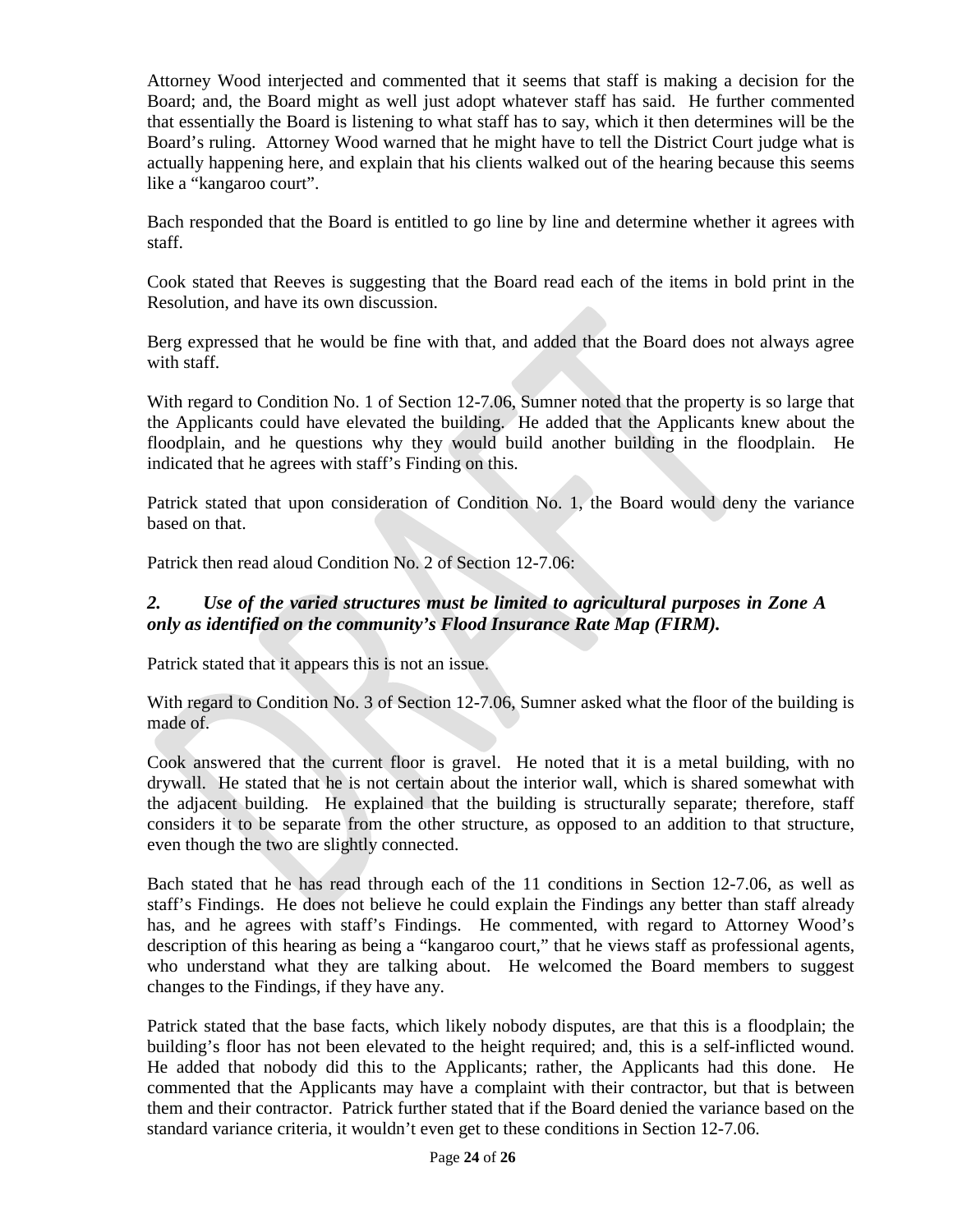Attorney Wood interjected and commented that it seems that staff is making a decision for the Board; and, the Board might as well just adopt whatever staff has said. He further commented that essentially the Board is listening to what staff has to say, which it then determines will be the Board's ruling. Attorney Wood warned that he might have to tell the District Court judge what is actually happening here, and explain that his clients walked out of the hearing because this seems like a "kangaroo court".

Bach responded that the Board is entitled to go line by line and determine whether it agrees with staff.

Cook stated that Reeves is suggesting that the Board read each of the items in bold print in the Resolution, and have its own discussion.

Berg expressed that he would be fine with that, and added that the Board does not always agree with staff.

With regard to Condition No. 1 of Section 12-7.06, Sumner noted that the property is so large that the Applicants could have elevated the building. He added that the Applicants knew about the floodplain, and he questions why they would build another building in the floodplain. He indicated that he agrees with staff's Finding on this.

Patrick stated that upon consideration of Condition No. 1, the Board would deny the variance based on that.

Patrick then read aloud Condition No. 2 of Section 12-7.06:

# *2. Use of the varied structures must be limited to agricultural purposes in Zone A only as identified on the community's Flood Insurance Rate Map (FIRM).*

Patrick stated that it appears this is not an issue.

With regard to Condition No. 3 of Section 12-7.06, Sumner asked what the floor of the building is made of.

Cook answered that the current floor is gravel. He noted that it is a metal building, with no drywall. He stated that he is not certain about the interior wall, which is shared somewhat with the adjacent building. He explained that the building is structurally separate; therefore, staff considers it to be separate from the other structure, as opposed to an addition to that structure, even though the two are slightly connected.

Bach stated that he has read through each of the 11 conditions in Section 12-7.06, as well as staff's Findings. He does not believe he could explain the Findings any better than staff already has, and he agrees with staff's Findings. He commented, with regard to Attorney Wood's description of this hearing as being a "kangaroo court," that he views staff as professional agents, who understand what they are talking about. He welcomed the Board members to suggest changes to the Findings, if they have any.

Patrick stated that the base facts, which likely nobody disputes, are that this is a floodplain; the building's floor has not been elevated to the height required; and, this is a self-inflicted wound. He added that nobody did this to the Applicants; rather, the Applicants had this done. He commented that the Applicants may have a complaint with their contractor, but that is between them and their contractor. Patrick further stated that if the Board denied the variance based on the standard variance criteria, it wouldn't even get to these conditions in Section 12-7.06.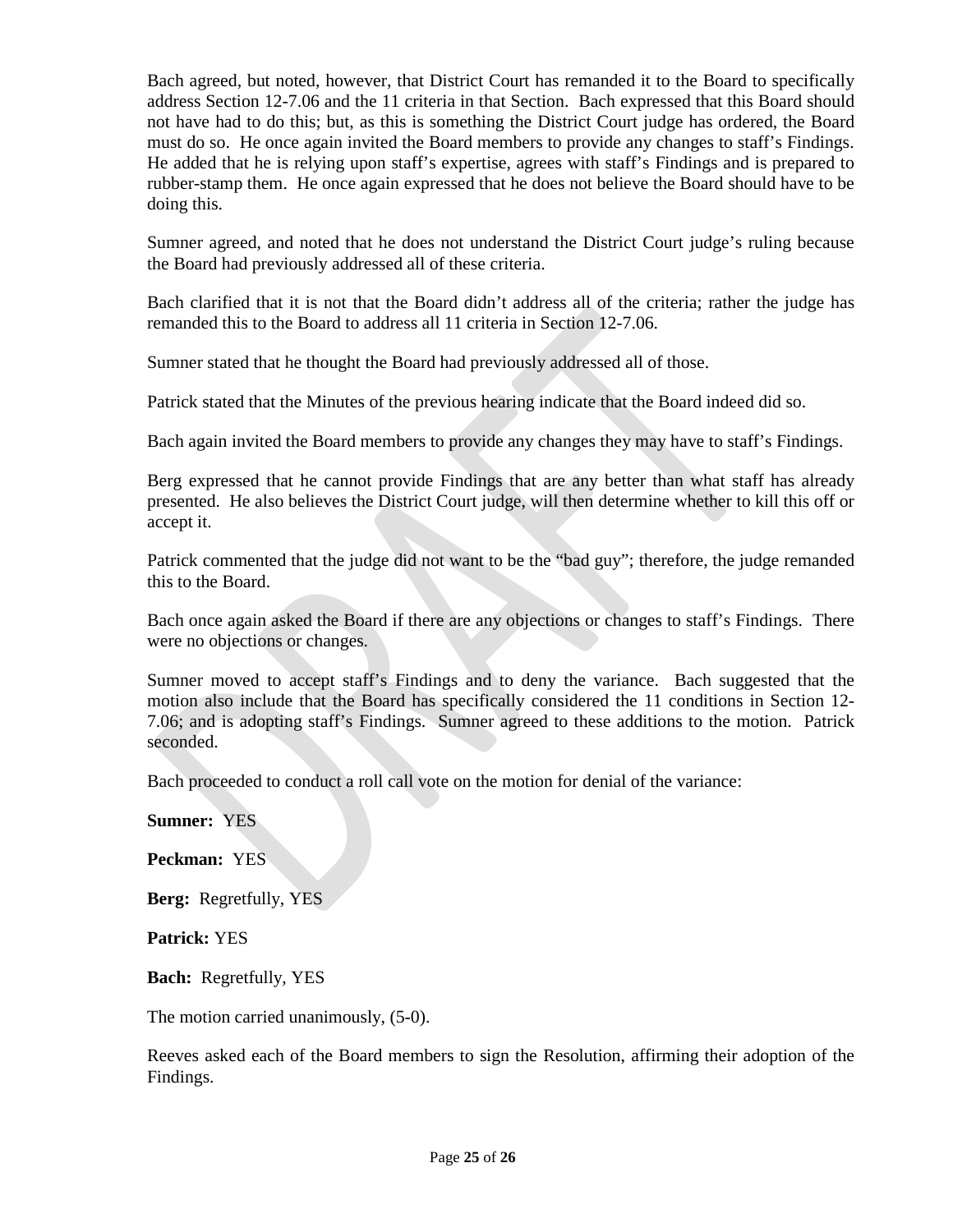Bach agreed, but noted, however, that District Court has remanded it to the Board to specifically address Section 12-7.06 and the 11 criteria in that Section. Bach expressed that this Board should not have had to do this; but, as this is something the District Court judge has ordered, the Board must do so. He once again invited the Board members to provide any changes to staff's Findings. He added that he is relying upon staff's expertise, agrees with staff's Findings and is prepared to rubber-stamp them. He once again expressed that he does not believe the Board should have to be doing this.

Sumner agreed, and noted that he does not understand the District Court judge's ruling because the Board had previously addressed all of these criteria.

Bach clarified that it is not that the Board didn't address all of the criteria; rather the judge has remanded this to the Board to address all 11 criteria in Section 12-7.06.

Sumner stated that he thought the Board had previously addressed all of those.

Patrick stated that the Minutes of the previous hearing indicate that the Board indeed did so.

Bach again invited the Board members to provide any changes they may have to staff's Findings.

Berg expressed that he cannot provide Findings that are any better than what staff has already presented. He also believes the District Court judge, will then determine whether to kill this off or accept it.

Patrick commented that the judge did not want to be the "bad guy"; therefore, the judge remanded this to the Board.

Bach once again asked the Board if there are any objections or changes to staff's Findings. There were no objections or changes.

Sumner moved to accept staff's Findings and to deny the variance. Bach suggested that the motion also include that the Board has specifically considered the 11 conditions in Section 12- 7.06; and is adopting staff's Findings. Sumner agreed to these additions to the motion. Patrick seconded.

Bach proceeded to conduct a roll call vote on the motion for denial of the variance:

**Sumner:** YES

**Peckman:** YES

**Berg:** Regretfully, YES

**Patrick:** YES

**Bach:** Regretfully, YES

The motion carried unanimously, (5-0).

Reeves asked each of the Board members to sign the Resolution, affirming their adoption of the Findings.